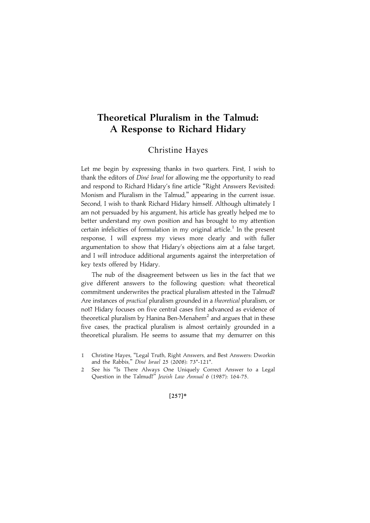# Theoretical Pluralism in the Talmud: A Response to Richard Hidary

## Christine Hayes

Let me begin by expressing thanks in two quarters. First, I wish to thank the editors of Diné Israel for allowing me the opportunity to read and respond to Richard Hidary's fine article ''Right Answers Revisited: Monism and Pluralism in the Talmud,'' appearing in the current issue. Second, I wish to thank Richard Hidary himself. Although ultimately I am not persuaded by his argument, his article has greatly helped me to better understand my own position and has brought to my attention certain infelicities of formulation in my original article.<sup>1</sup> In the present response, I will express my views more clearly and with fuller argumentation to show that Hidary's objections aim at a false target, and I will introduce additional arguments against the interpretation of key texts offered by Hidary.

The nub of the disagreement between us lies in the fact that we give different answers to the following question: what theoretical commitment underwrites the practical pluralism attested in the Talmud? Are instances of practical pluralism grounded in a theoretical pluralism, or not? Hidary focuses on five central cases first advanced as evidence of theoretical pluralism by Hanina Ben-Menahem<sup>2</sup> and argues that in these five cases, the practical pluralism is almost certainly grounded in a theoretical pluralism. He seems to assume that my demurrer on this

#### $[257]*$

<sup>1</sup> Christine Hayes, ''Legal Truth, Right Answers, and Best Answers: Dworkin and the Rabbis," Diné Israel 25 (2008): 73\*-121\*.

<sup>2</sup> See his ''Is There Always One Uniquely Correct Answer to a Legal Question in the Talmud?'' Jewish Law Annual 6 (1987): 164-75.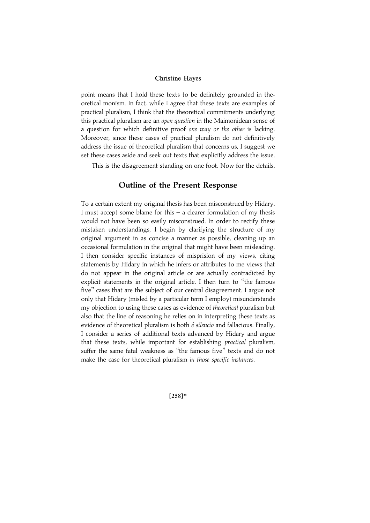point means that I hold these texts to be definitely grounded in theoretical monism. In fact, while I agree that these texts are examples of practical pluralism, I think that the theoretical commitments underlying this practical pluralism are an open question in the Maimonidean sense of a question for which definitive proof one way or the other is lacking. Moreover, since these cases of practical pluralism do not definitively address the issue of theoretical pluralism that concerns us, I suggest we set these cases aside and seek out texts that explicitly address the issue.

This is the disagreement standing on one foot. Now for the details.

## Outline of the Present Response

To a certain extent my original thesis has been misconstrued by Hidary. I must accept some blame for this  $-$  a clearer formulation of my thesis would not have been so easily misconstrued. In order to rectify these mistaken understandings, I begin by clarifying the structure of my original argument in as concise a manner as possible, cleaning up an occasional formulation in the original that might have been misleading. I then consider specific instances of misprision of my views, citing statements by Hidary in which he infers or attributes to me views that do not appear in the original article or are actually contradicted by explicit statements in the original article. I then turn to ''the famous five'' cases that are the subject of our central disagreement. I argue not only that Hidary (misled by a particular term I employ) misunderstands my objection to using these cases as evidence of theoretical pluralism but also that the line of reasoning he relies on in interpreting these texts as evidence of theoretical pluralism is both  $\acute{e}$  silencio and fallacious. Finally, I consider a series of additional texts advanced by Hidary and argue that these texts, while important for establishing *practical* pluralism, suffer the same fatal weakness as ''the famous five'' texts and do not make the case for theoretical pluralism in those specific instances.

 $[258]*$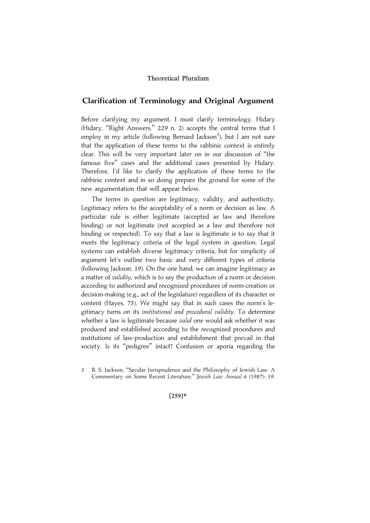## Clarification of Terminology and Original Argument

Before clarifying my argument, I must clarify terminology. Hidary (Hidary, "Right Answers," 229 n. 2) accepts the central terms that I employ in my article (following Bernard Jackson<sup>3</sup>), but I am not sure that the application of these terms to the rabbinic context is entirely clear. This will be very important later on in our discussion of ''the famous five'' cases and the additional cases presented by Hidary. Therefore, I'd like to clarify the application of these terms to the rabbinic context and in so doing prepare the ground for some of the new argumentation that will appear below.

The terms in question are legitimacy, validity, and authenticity. Legitimacy refers to the acceptability of a norm or decision as law. A particular rule is either legitimate (accepted as law and therefore binding) or not legitimate (not accepted as a law and therefore not binding or respected). To say that a law is legitimate is to say that it meets the legitimacy criteria of the legal system in question. Legal systems can establish diverse legitimacy criteria, but for simplicity of argument let's outline two basic and very different types of criteria (following Jackson, 19). On the one hand, we can imagine legitimacy as a matter of validity, which is to say the production of a norm or decision according to authorized and recognized procedures of norm-creation or decision-making (e.g., act of the legislature) regardless of its character or content (Hayes, 75). We might say that in such cases the norm's legitimacy turns on its institutional and procedural validity. To determine whether a law is legitimate because *valid* one would ask whether it was produced and established according to the recognized procedures and institutions of law-production and establishment that prevail in that society. Is its ''pedigree'' intact? Confusion or aporia regarding the

 $[259]*$ 

<sup>3</sup> B. S. Jackson, ''Secular Jurisprudence and the Philosophy of Jewish Law: A Commentary on Some Recent Literature,'' Jewish Law Annual 6 (1987): 19.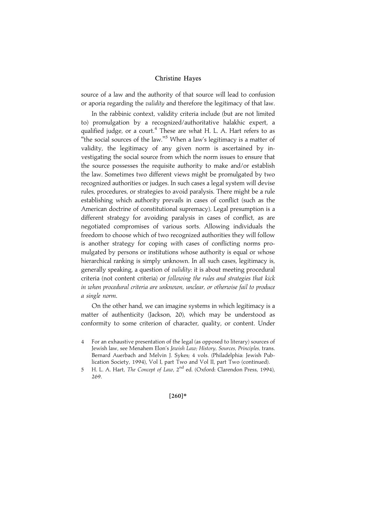source of a law and the authority of that source will lead to confusion or aporia regarding the validity and therefore the legitimacy of that law.

In the rabbinic context, validity criteria include (but are not limited to) promulgation by a recognized/authoritative halakhic expert, a qualified judge, or a court.<sup>4</sup> These are what H. L. A. Hart refers to as "the social sources of the law."<sup>5</sup> When a law's legitimacy is a matter of validity, the legitimacy of any given norm is ascertained by investigating the social source from which the norm issues to ensure that the source possesses the requisite authority to make and/or establish the law. Sometimes two different views might be promulgated by two recognized authorities or judges. In such cases a legal system will devise rules, procedures, or strategies to avoid paralysis. There might be a rule establishing which authority prevails in cases of conflict (such as the American doctrine of constitutional supremacy). Legal presumption is a different strategy for avoiding paralysis in cases of conflict, as are negotiated compromises of various sorts. Allowing individuals the freedom to choose which of two recognized authorities they will follow is another strategy for coping with cases of conflicting norms promulgated by persons or institutions whose authority is equal or whose hierarchical ranking is simply unknown. In all such cases, legitimacy is, generally speaking, a question of validity: it is about meeting procedural criteria (not content criteria) or following the rules and strategies that kick in when procedural criteria are unknown, unclear, or otherwise fail to produce a single norm.

On the other hand, we can imagine systems in which legitimacy is a matter of authenticity (Jackson, 20), which may be understood as conformity to some criterion of character, quality, or content. Under

#### $[260]*$

<sup>4</sup> For an exhaustive presentation of the legal (as opposed to literary) sources of Jewish law, see Menahem Elon's Jewish Law; History, Sources, Principles, trans. Bernard Auerbach and Melvin J. Sykes; 4 vols. (Philadelphia: Jewish Publication Society, 1994), Vol I, part Two and Vol II, part Two (continued).

<sup>5</sup> H. L. A. Hart, The Concept of Law, 2nd ed. (Oxford: Clarendon Press, 1994), 269.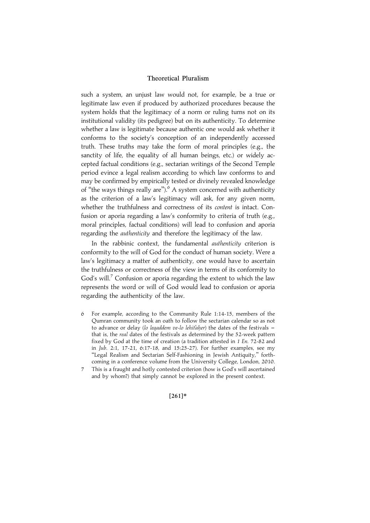such a system, an unjust law would not, for example, be a true or legitimate law even if produced by authorized procedures because the system holds that the legitimacy of a norm or ruling turns not on its institutional validity (its pedigree) but on its authenticity. To determine whether a law is legitimate because authentic one would ask whether it conforms to the society's conception of an independently accessed truth. These truths may take the form of moral principles (e.g., the sanctity of life, the equality of all human beings, etc.) or widely accepted factual conditions (e.g., sectarian writings of the Second Temple period evince a legal realism according to which law conforms to and may be confirmed by empirically tested or divinely revealed knowledge of "the ways things really are").<sup>6</sup> A system concerned with authenticity as the criterion of a law's legitimacy will ask, for any given norm, whether the truthfulness and correctness of its content is intact. Confusion or aporia regarding a law's conformity to criteria of truth (e.g., moral principles, factual conditions) will lead to confusion and aporia regarding the authenticity and therefore the legitimacy of the law.

In the rabbinic context, the fundamental authenticity criterion is conformity to the will of God for the conduct of human society. Were a law's legitimacy a matter of authenticity, one would have to ascertain the truthfulness or correctness of the view in terms of its conformity to God's will.<sup>7</sup> Confusion or aporia regarding the extent to which the law represents the word or will of God would lead to confusion or aporia regarding the authenticity of the law.

- 6 For example, according to the Community Rule 1:14-15, members of the Qumran community took an oath to follow the sectarian calendar so as not to advance or delay (lo legaddem ve-lo lehitaher) the dates of the festivals  $$ that is, the real dates of the festivals as determined by the 52-week pattern fixed by God at the time of creation (a tradition attested in 1 En. 72-82 and in Jub. 2:1, 17-21, 6:17-18, and 15:25-27). For further examples, see my ''Legal Realism and Sectarian Self-Fashioning in Jewish Antiquity,'' forthcoming in a conference volume from the University College, London, 2010.
- 7 This is a fraught and hotly contested criterion (how is God's will ascertained and by whom?) that simply cannot be explored in the present context.

 $[261]*$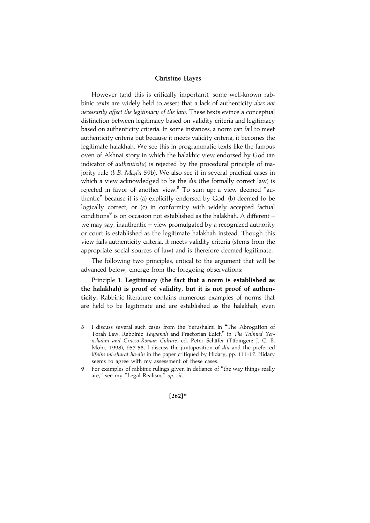However (and this is critically important), some well-known rabbinic texts are widely held to assert that a lack of authenticity does not necessarily affect the legitimacy of the law. These texts evince a conceptual distinction between legitimacy based on validity criteria and legitimacy based on authenticity criteria. In some instances, a norm can fail to meet authenticity criteria but because it meets validity criteria, it becomes the legitimate halakhah. We see this in programmatic texts like the famous oven of Akhnai story in which the halakhic view endorsed by God (an indicator of authenticity) is rejected by the procedural principle of majority rule ( $b.B. Mesi'a 59b$ ). We also see it in several practical cases in which a view acknowledged to be the *din* (the formally correct law) is rejected in favor of another view.<sup>8</sup> To sum up: a view deemed "authentic'' because it is (a) explicitly endorsed by God, (b) deemed to be logically correct, or (c) in conformity with widely accepted factual conditions<sup>9</sup> is on occasion not established as the halakhah. A different  $$ we may say, inauthentic – view promulgated by a recognized authority or court is established as the legitimate halakhah instead. Though this view fails authenticity criteria, it meets validity criteria (stems from the appropriate social sources of law) and is therefore deemed legitimate.

The following two principles, critical to the argument that will be advanced below, emerge from the foregoing observations:

Principle 1: Legitimacy (the fact that a norm is established as the halakhah) is proof of validity, but it is not proof of authenticity. Rabbinic literature contains numerous examples of norms that are held to be legitimate and are established as the halakhah, even

9 For examples of rabbinic rulings given in defiance of ''the way things really are," see my "Legal Realism," op. cit.

#### $[262]*$

<sup>8</sup> I discuss several such cases from the Yerushalmi in ''The Abrogation of Torah Law: Rabbinic Tagganah and Praetorian Edict," in The Talmud Yerushalmi and Graeco-Roman Culture, ed. Peter Schäfer (Tübingen: J. C. B. Mohr, 1998), 657-58. I discuss the juxtaposition of din and the preferred lifnim mi-shurat ha-din in the paper critiqued by Hidary, pp. 111-17. Hidary seems to agree with my assessment of these cases.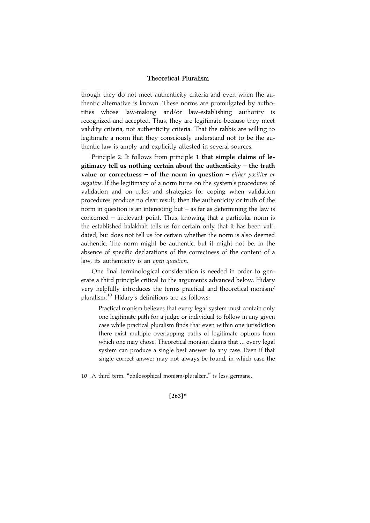though they do not meet authenticity criteria and even when the authentic alternative is known. These norms are promulgated by authorities whose law-making and/or law-establishing authority is recognized and accepted. Thus, they are legitimate because they meet validity criteria, not authenticity criteria. That the rabbis are willing to legitimate a norm that they consciously understand not to be the authentic law is amply and explicitly attested in several sources.

Principle 2: It follows from principle 1 that simple claims of legitimacy tell us nothing certain about the authenticity – the truth value or correctness  $-$  of the norm in question  $-$  either positive or negative. If the legitimacy of a norm turns on the system's procedures of validation and on rules and strategies for coping when validation procedures produce no clear result, then the authenticity or truth of the norm in question is an interesting but  $-$  as far as determining the law is concerned – irrelevant point. Thus, knowing that a particular norm is the established halakhah tells us for certain only that it has been validated, but does not tell us for certain whether the norm is also deemed authentic. The norm might be authentic, but it might not be. In the absence of specific declarations of the correctness of the content of a law, its authenticity is an open question.

One final terminological consideration is needed in order to generate a third principle critical to the arguments advanced below. Hidary very helpfully introduces the terms practical and theoretical monism/ pluralism.<sup>10</sup> Hidary's definitions are as follows:

Practical monism believes that every legal system must contain only one legitimate path for a judge or individual to follow in any given case while practical pluralism finds that even within one jurisdiction there exist multiple overlapping paths of legitimate options from which one may chose. Theoretical monism claims that ... every legal system can produce a single best answer to any case. Even if that single correct answer may not always be found, in which case the

10 A third term, ''philosophical monism/pluralism,'' is less germane.

 $[263]*$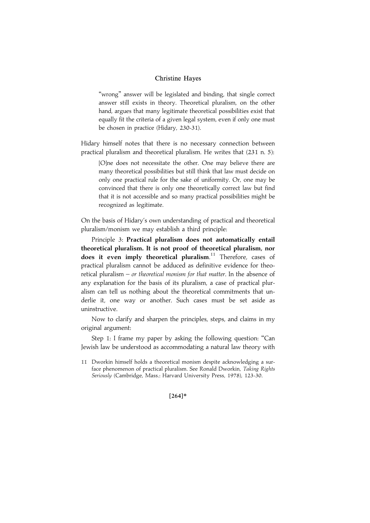"wrong" answer will be legislated and binding, that single correct answer still exists in theory. Theoretical pluralism, on the other hand, argues that many legitimate theoretical possibilities exist that equally fit the criteria of a given legal system, even if only one must be chosen in practice (Hidary, 230-31).

Hidary himself notes that there is no necessary connection between practical pluralism and theoretical pluralism. He writes that (231 n. 5):

[O]ne does not necessitate the other. One may believe there are many theoretical possibilities but still think that law must decide on only one practical rule for the sake of uniformity. Or, one may be convinced that there is only one theoretically correct law but find that it is not accessible and so many practical possibilities might be recognized as legitimate.

On the basis of Hidary's own understanding of practical and theoretical pluralism/monism we may establish a third principle:

Principle 3: Practical pluralism does not automatically entail theoretical pluralism. It is not proof of theoretical pluralism, nor does it even imply theoretical pluralism.<sup>11</sup> Therefore, cases of practical pluralism cannot be adduced as definitive evidence for theoretical pluralism – or theoretical monism for that matter. In the absence of any explanation for the basis of its pluralism, a case of practical pluralism can tell us nothing about the theoretical commitments that underlie it, one way or another. Such cases must be set aside as uninstructive.

Now to clarify and sharpen the principles, steps, and claims in my original argument:

Step 1: I frame my paper by asking the following question: ''Can Jewish law be understood as accommodating a natural law theory with

#### $[264]*$

<sup>11</sup> Dworkin himself holds a theoretical monism despite acknowledging a surface phenomenon of practical pluralism. See Ronald Dworkin, Taking Rights Seriously (Cambridge, Mass.: Harvard University Press, 1978), 123-30.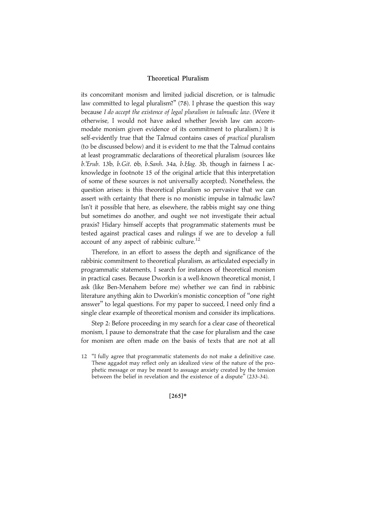its concomitant monism and limited judicial discretion, or is talmudic law committed to legal pluralism?" (78). I phrase the question this way because I do accept the existence of legal pluralism in talmudic law. (Were it otherwise, I would not have asked whether Jewish law can accommodate monism given evidence of its commitment to pluralism.) It is self-evidently true that the Talmud contains cases of *practical* pluralism (to be discussed below) and it is evident to me that the Talmud contains at least programmatic declarations of theoretical pluralism (sources like b.'Erub. 13b, b.Git. 6b, b.Sanh. 34a, b.Hag. 3b, though in fairness I acknowledge in footnote 15 of the original article that this interpretation of some of these sources is not universally accepted). Nonetheless, the question arises: is this theoretical pluralism so pervasive that we can assert with certainty that there is no monistic impulse in talmudic law? Isn't it possible that here, as elsewhere, the rabbis might say one thing but sometimes do another, and ought we not investigate their actual praxis? Hidary himself accepts that programmatic statements must be tested against practical cases and rulings if we are to develop a full account of any aspect of rabbinic culture.<sup>12</sup>

Therefore, in an effort to assess the depth and significance of the rabbinic commitment to theoretical pluralism, as articulated especially in programmatic statements, I search for instances of theoretical monism in practical cases. Because Dworkin is a well-known theoretical monist, I ask (like Ben-Menahem before me) whether we can find in rabbinic literature anything akin to Dworkin's monistic conception of ''one right answer'' to legal questions. For my paper to succeed, I need only find a single clear example of theoretical monism and consider its implications.

Step 2: Before proceeding in my search for a clear case of theoretical monism, I pause to demonstrate that the case for pluralism and the case for monism are often made on the basis of texts that are not at all

 $[265]*$ 

<sup>12</sup> ''I fully agree that programmatic statements do not make a definitive case. These aggadot may reflect only an idealized view of the nature of the prophetic message or may be meant to assuage anxiety created by the tension between the belief in revelation and the existence of a dispute'' (233-34).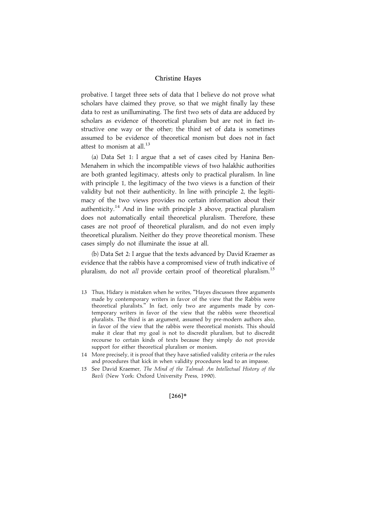probative. I target three sets of data that I believe do not prove what scholars have claimed they prove, so that we might finally lay these data to rest as unilluminating. The first two sets of data are adduced by scholars as evidence of theoretical pluralism but are not in fact instructive one way or the other; the third set of data is sometimes assumed to be evidence of theoretical monism but does not in fact attest to monism at all. $^{13}$ 

(a) Data Set 1: I argue that a set of cases cited by Hanina Ben-Menahem in which the incompatible views of two halakhic authorities are both granted legitimacy, attests only to practical pluralism. In line with principle 1, the legitimacy of the two views is a function of their validity but not their authenticity. In line with principle 2, the legitimacy of the two views provides no certain information about their authenticity.<sup>14</sup> And in line with principle 3 above, practical pluralism does not automatically entail theoretical pluralism. Therefore, these cases are not proof of theoretical pluralism, and do not even imply theoretical pluralism. Neither do they prove theoretical monism. These cases simply do not illuminate the issue at all.

(b) Data Set 2: I argue that the texts advanced by David Kraemer as evidence that the rabbis have a compromised view of truth indicative of pluralism, do not *all* provide certain proof of theoretical pluralism.<sup>15</sup>

- 13 Thus, Hidary is mistaken when he writes, ''Hayes discusses three arguments made by contemporary writers in favor of the view that the Rabbis were theoretical pluralists.'' In fact, only two are arguments made by contemporary writers in favor of the view that the rabbis were theoretical pluralists. The third is an argument, assumed by pre-modern authors also, in favor of the view that the rabbis were theoretical monists. This should make it clear that my goal is not to discredit pluralism, but to discredit recourse to certain kinds of texts because they simply do not provide support for either theoretical pluralism or monism.
- 14 More precisely, it is proof that they have satisfied validity criteria or the rules and procedures that kick in when validity procedures lead to an impasse.
- 15 See David Kraemer, The Mind of the Talmud: An Intellectual History of the Bavli (New York: Oxford University Press, 1990).

#### $[266]*$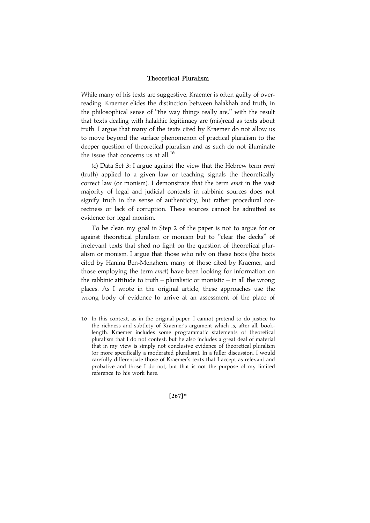While many of his texts are suggestive, Kraemer is often guilty of overreading. Kraemer elides the distinction between halakhah and truth, in the philosophical sense of ''the way things really are,'' with the result that texts dealing with halakhic legitimacy are (mis)read as texts about truth. I argue that many of the texts cited by Kraemer do not allow us to move beyond the surface phenomenon of practical pluralism to the deeper question of theoretical pluralism and as such do not illuminate the issue that concerns us at all.<sup>16</sup>

(c) Data Set 3: I argue against the view that the Hebrew term emet (truth) applied to a given law or teaching signals the theoretically correct law (or monism). I demonstrate that the term emet in the vast majority of legal and judicial contexts in rabbinic sources does not signify truth in the sense of authenticity, but rather procedural correctness or lack of corruption. These sources cannot be admitted as evidence for legal monism.

To be clear: my goal in Step 2 of the paper is not to argue for or against theoretical pluralism or monism but to ''clear the decks'' of irrelevant texts that shed no light on the question of theoretical pluralism or monism. I argue that those who rely on these texts (the texts cited by Hanina Ben-Menahem, many of those cited by Kraemer, and those employing the term emet) have been looking for information on the rabbinic attitude to truth – pluralistic or monistic – in all the wrong places. As I wrote in the original article, these approaches use the wrong body of evidence to arrive at an assessment of the place of

16 In this context, as in the original paper, I cannot pretend to do justice to the richness and subtlety of Kraemer's argument which is, after all, booklength. Kraemer includes some programmatic statements of theoretical pluralism that I do not contest, but he also includes a great deal of material that in my view is simply not conclusive evidence of theoretical pluralism (or more specifically a moderated pluralism). In a fuller discussion, I would carefully differentiate those of Kraemer's texts that I accept as relevant and probative and those I do not, but that is not the purpose of my limited reference to his work here.

 $[267]*$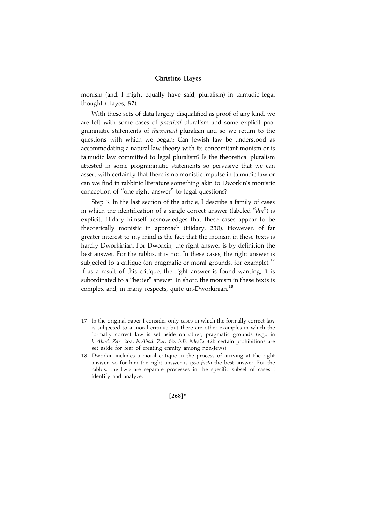monism (and, I might equally have said, pluralism) in talmudic legal thought (Hayes, 87).

With these sets of data largely disqualified as proof of any kind, we are left with some cases of practical pluralism and some explicit programmatic statements of theoretical pluralism and so we return to the questions with which we began: Can Jewish law be understood as accommodating a natural law theory with its concomitant monism or is talmudic law committed to legal pluralism? Is the theoretical pluralism attested in some programmatic statements so pervasive that we can assert with certainty that there is no monistic impulse in talmudic law or can we find in rabbinic literature something akin to Dworkin's monistic conception of ''one right answer'' to legal questions?

Step 3: In the last section of the article, I describe a family of cases in which the identification of a single correct answer (labeled "din") is explicit. Hidary himself acknowledges that these cases appear to be theoretically monistic in approach (Hidary, 230). However, of far greater interest to my mind is the fact that the monism in these texts is hardly Dworkinian. For Dworkin, the right answer is by definition the best answer. For the rabbis, it is not. In these cases, the right answer is subjected to a critique (on pragmatic or moral grounds, for example).<sup>17</sup> If as a result of this critique, the right answer is found wanting, it is subordinated to a ''better'' answer. In short, the monism in these texts is complex and, in many respects, quite un-Dworkinian.<sup>18</sup>

- 17 In the original paper I consider only cases in which the formally correct law is subjected to a moral critique but there are other examples in which the formally correct law is set aside on other, pragmatic grounds (e.g., in b.'Abod. Zar. 26a, b.'Abod. Zar. 6b, b.B. Mesi'a 32b certain prohibitions are set aside for fear of creating enmity among non-Jews).
- 18 Dworkin includes a moral critique in the process of arriving at the right answer, so for him the right answer is ipso facto the best answer. For the rabbis, the two are separate processes in the specific subset of cases I identify and analyze.

 $[268]*$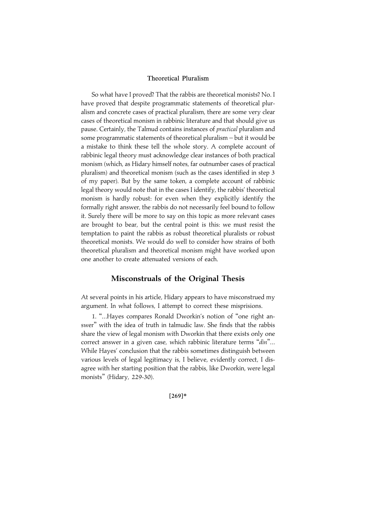So what have I proved? That the rabbis are theoretical monists? No. I have proved that despite programmatic statements of theoretical pluralism and concrete cases of practical pluralism, there are some very clear cases of theoretical monism in rabbinic literature and that should give us pause. Certainly, the Talmud contains instances of *practical* pluralism and some programmatic statements of theoretical pluralism – but it would be a mistake to think these tell the whole story. A complete account of rabbinic legal theory must acknowledge clear instances of both practical monism (which, as Hidary himself notes, far outnumber cases of practical pluralism) and theoretical monism (such as the cases identified in step 3 of my paper). But by the same token, a complete account of rabbinic legal theory would note that in the cases I identify, the rabbis' theoretical monism is hardly robust: for even when they explicitly identify the formally right answer, the rabbis do not necessarily feel bound to follow it. Surely there will be more to say on this topic as more relevant cases are brought to bear, but the central point is this: we must resist the temptation to paint the rabbis as robust theoretical pluralists or robust theoretical monists. We would do well to consider how strains of both theoretical pluralism and theoretical monism might have worked upon one another to create attenuated versions of each.

## Misconstruals of the Original Thesis

At several points in his article, Hidary appears to have misconstrued my argument. In what follows, I attempt to correct these misprisions.

1. ''...Hayes compares Ronald Dworkin's notion of ''one right answer'' with the idea of truth in talmudic law. She finds that the rabbis share the view of legal monism with Dworkin that there exists only one correct answer in a given case, which rabbinic literature terms "din"... While Hayes' conclusion that the rabbis sometimes distinguish between various levels of legal legitimacy is, I believe, evidently correct, I disagree with her starting position that the rabbis, like Dworkin, were legal monists'' (Hidary, 229-30).

 $[269]*$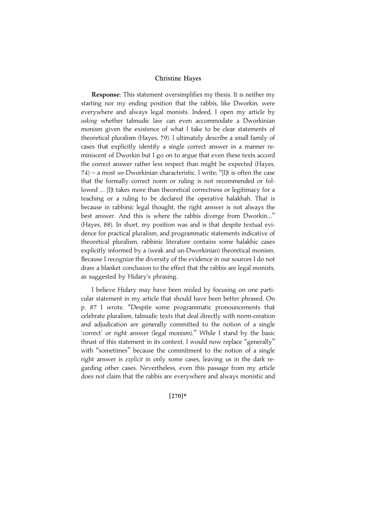Response: This statement oversimplifies my thesis. It is neither my starting nor my ending position that the rabbis, like Dworkin, were everywhere and always legal monists. Indeed, I open my article by asking whether talmudic law can even accommodate a Dworkinian monism given the existence of what I take to be clear statements of theoretical pluralism (Hayes, 79). I ultimately describe a small family of cases that explicitly identify a single correct answer in a manner reminiscent of Dworkin but I go on to argue that even these texts accord the correct answer rather less respect than might be expected (Hayes,  $74$ ) – a most un-Dworkinian characteristic. I write: "[I]t is often the case that the formally correct norm or ruling is not recommended or followed ... [I]t takes more than theoretical correctness or legitimacy for a teaching or a ruling to be declared the operative halakhah. That is because in rabbinic legal thought, the right answer is not always the best answer. And this is where the rabbis diverge from Dworkin...'' (Hayes, 88). In short, my position was and is that despite textual evidence for practical pluralism, and programmatic statements indicative of theoretical pluralism, rabbinic literature contains some halakhic cases explicitly informed by a (weak and un-Dworkinian) theoretical monism. Because I recognize the diversity of the evidence in our sources I do not draw a blanket conclusion to the effect that the rabbis are legal monists, as suggested by Hidary's phrasing.

I believe Hidary may have been misled by focusing on one particular statement in my article that should have been better phrased. On p. 87 I wrote, ''Despite some programmatic pronouncements that celebrate pluralism, talmudic texts that deal directly with norm-creation and adjudication are generally committed to the notion of a single 'correct' or right answer (legal monism).'' While I stand by the basic thrust of this statement in its context, I would now replace "generally" with ''sometimes'' because the commitment to the notion of a single right answer is explicit in only some cases, leaving us in the dark regarding other cases. Nevertheless, even this passage from my article does not claim that the rabbis are everywhere and always monistic and

#### $[270]*$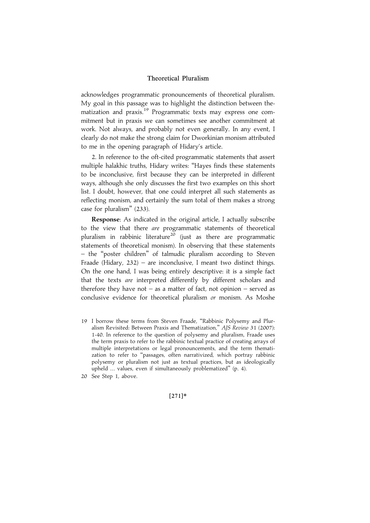acknowledges programmatic pronouncements of theoretical pluralism. My goal in this passage was to highlight the distinction between thematization and praxis.<sup>19</sup> Programmatic texts may express one commitment but in praxis we can sometimes see another commitment at work. Not always, and probably not even generally. In any event, I clearly do not make the strong claim for Dworkinian monism attributed to me in the opening paragraph of Hidary's article.

2. In reference to the oft-cited programmatic statements that assert multiple halakhic truths, Hidary writes: ''Hayes finds these statements to be inconclusive, first because they can be interpreted in different ways, although she only discusses the first two examples on this short list. I doubt, however, that one could interpret all such statements as reflecting monism, and certainly the sum total of them makes a strong case for pluralism'' (233).

Response: As indicated in the original article, I actually subscribe to the view that there are programmatic statements of theoretical pluralism in rabbinic literature<sup>20</sup> (just as there are programmatic statements of theoretical monism). In observing that these statements – the ''poster children'' of talmudic pluralism according to Steven Fraade (Hidary,  $232$ ) – are inconclusive, I meant two distinct things. On the one hand, I was being entirely descriptive: it is a simple fact that the texts are interpreted differently by different scholars and therefore they have not – as a matter of fact, not opinion – served as conclusive evidence for theoretical pluralism or monism. As Moshe

19 I borrow these terms from Steven Fraade, ''Rabbinic Polysemy and Pluralism Revisited: Between Praxis and Thematization," AJS Review 31 (2007): 1-40. In reference to the question of polysemy and pluralism, Fraade uses the term praxis to refer to the rabbinic textual practice of creating arrays of multiple interpretations or legal pronouncements, and the term thematization to refer to ''passages, often narrativized, which portray rabbinic polysemy or pluralism not just as textual practices, but as ideologically upheld ... values, even if simultaneously problematized'' (p. 4).

 $[271]*$ 

<sup>20</sup> See Step 1, above.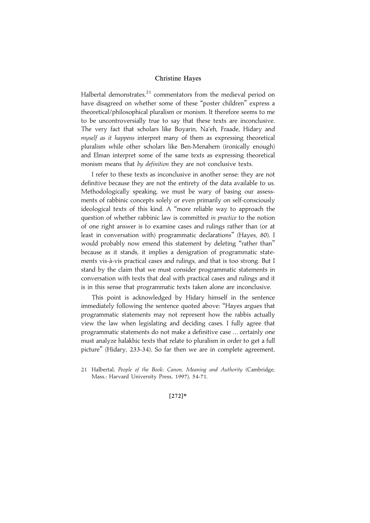Halbertal demonstrates, $21$  commentators from the medieval period on have disagreed on whether some of these ''poster children'' express a theoretical/philosophical pluralism or monism. It therefore seems to me to be uncontroversially true to say that these texts are inconclusive. The very fact that scholars like Boyarin, Na'eh, Fraade, Hidary and myself as it happens interpret many of them as expressing theoretical pluralism while other scholars like Ben-Menahem (ironically enough) and Elman interpret some of the same texts as expressing theoretical monism means that by definition they are not conclusive texts.

I refer to these texts as inconclusive in another sense: they are not definitive because they are not the entirety of the data available to us. Methodologically speaking, we must be wary of basing our assessments of rabbinic concepts solely or even primarily on self-consciously ideological texts of this kind. A ''more reliable way to approach the question of whether rabbinic law is committed *in practice* to the notion of one right answer is to examine cases and rulings rather than (or at least in conversation with) programmatic declarations'' (Hayes, 80). I would probably now emend this statement by deleting "rather than" because as it stands, it implies a denigration of programmatic statements vis-à-vis practical cases and rulings, and that is too strong. But I stand by the claim that we must consider programmatic statements in conversation with texts that deal with practical cases and rulings and it is in this sense that programmatic texts taken alone are inconclusive.

This point is acknowledged by Hidary himself in the sentence immediately following the sentence quoted above: ''Hayes argues that programmatic statements may not represent how the rabbis actually view the law when legislating and deciding cases. I fully agree that programmatic statements do not make a definitive case ... certainly one must analyze halakhic texts that relate to pluralism in order to get a full picture'' (Hidary, 233-34). So far then we are in complete agreement,

#### $[272]*$

<sup>21</sup> Halbertal, People of the Book: Canon, Meaning and Authority (Cambridge, Mass.: Harvard University Press, 1997), 54-71.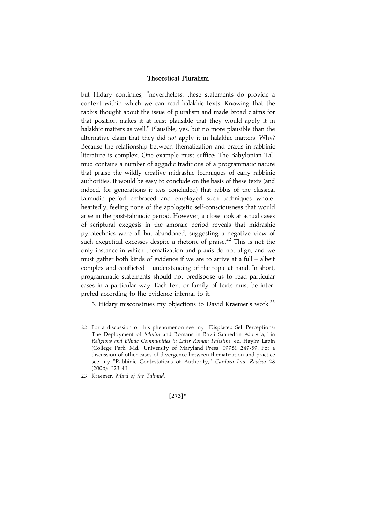but Hidary continues, ''nevertheless, these statements do provide a context within which we can read halakhic texts. Knowing that the rabbis thought about the issue of pluralism and made broad claims for that position makes it at least plausible that they would apply it in halakhic matters as well.'' Plausible, yes, but no more plausible than the alternative claim that they did not apply it in halakhic matters. Why? Because the relationship between thematization and praxis in rabbinic literature is complex. One example must suffice: The Babylonian Talmud contains a number of aggadic traditions of a programmatic nature that praise the wildly creative midrashic techniques of early rabbinic authorities. It would be easy to conclude on the basis of these texts (and indeed, for generations it was concluded) that rabbis of the classical talmudic period embraced and employed such techniques wholeheartedly, feeling none of the apologetic self-consciousness that would arise in the post-talmudic period. However, a close look at actual cases of scriptural exegesis in the amoraic period reveals that midrashic pyrotechnics were all but abandoned, suggesting a negative view of such exegetical excesses despite a rhetoric of praise.<sup>22</sup> This is not the only instance in which thematization and praxis do not align, and we must gather both kinds of evidence if we are to arrive at a full – albeit complex and conflicted – understanding of the topic at hand. In short, programmatic statements should not predispose us to read particular cases in a particular way. Each text or family of texts must be interpreted according to the evidence internal to it.

3. Hidary misconstrues my objections to David Kraemer's work.<sup>23</sup>

23 Kraemer, Mind of the Talmud.

 $[273]*$ 

<sup>22</sup> For a discussion of this phenomenon see my ''Displaced Self-Perceptions: The Deployment of Minim and Romans in Bavli Sanhedrin 90b-91a,'' in Religious and Ethnic Communities in Later Roman Palestine, ed. Hayim Lapin (College Park, Md.: University of Maryland Press, 1998), 249-89. For a discussion of other cases of divergence between thematization and practice see my "Rabbinic Contestations of Authority," Cardozo Law Review 28 (2006): 123-41.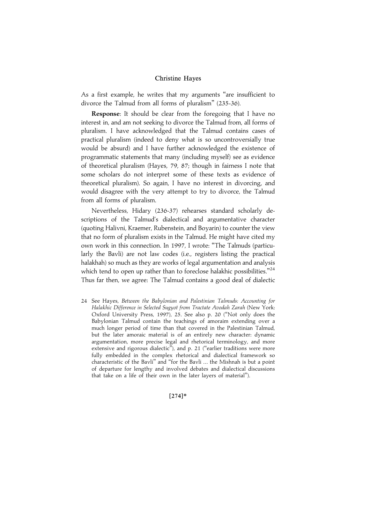As a first example, he writes that my arguments ''are insufficient to divorce the Talmud from all forms of pluralism'' (235-36).

Response: It should be clear from the foregoing that I have no interest in, and am not seeking to divorce the Talmud from, all forms of pluralism. I have acknowledged that the Talmud contains cases of practical pluralism (indeed to deny what is so uncontroversially true would be absurd) and I have further acknowledged the existence of programmatic statements that many (including myself) see as evidence of theoretical pluralism (Hayes, 79, 87; though in fairness I note that some scholars do not interpret some of these texts as evidence of theoretical pluralism). So again, I have no interest in divorcing, and would disagree with the very attempt to try to divorce, the Talmud from all forms of pluralism.

Nevertheless, Hidary (236-37) rehearses standard scholarly descriptions of the Talmud's dialectical and argumentative character (quoting Halivni, Kraemer, Rubenstein, and Boyarin) to counter the view that no form of pluralism exists in the Talmud. He might have cited my own work in this connection. In 1997, I wrote: ''The Talmuds (particularly the Bavli) are not law codes (i.e., registers listing the practical halakhah) so much as they are works of legal argumentation and analysis which tend to open up rather than to foreclose halakhic possibilities."<sup>24</sup> Thus far then, we agree: The Talmud contains a good deal of dialectic

24 See Hayes, Between the Babylonian and Palestinian Talmuds: Accounting for Halakhic Difference in Selected Sugyot from Tractate Avodah Zarah (New York: Oxford University Press, 1997), 25. See also p. 20 (''Not only does the Babylonian Talmud contain the teachings of amoraim extending over a much longer period of time than that covered in the Palestinian Talmud, but the later amoraic material is of an entirely new character: dynamic argumentation, more precise legal and rhetorical terminology, and more extensive and rigorous dialectic''), and p. 21 (''earlier traditions were more fully embedded in the complex rhetorical and dialectical framework so characteristic of the Bavli'' and ''for the Bavli ... the Mishnah is but a point of departure for lengthy and involved debates and dialectical discussions that take on a life of their own in the later layers of material'').

 $[274]*$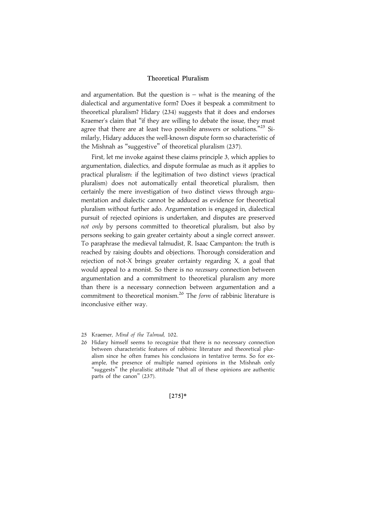and argumentation. But the question is  $-$  what is the meaning of the dialectical and argumentative form? Does it bespeak a commitment to theoretical pluralism? Hidary (234) suggests that it does and endorses Kraemer's claim that ''if they are willing to debate the issue, they must agree that there are at least two possible answers or solutions."<sup>25</sup> Similarly, Hidary adduces the well-known dispute form so characteristic of the Mishnah as ''suggestive'' of theoretical pluralism (237).

First, let me invoke against these claims principle 3, which applies to argumentation, dialectics, and dispute formulae as much as it applies to practical pluralism: if the legitimation of two distinct views (practical pluralism) does not automatically entail theoretical pluralism, then certainly the mere investigation of two distinct views through argumentation and dialectic cannot be adduced as evidence for theoretical pluralism without further ado. Argumentation is engaged in, dialectical pursuit of rejected opinions is undertaken, and disputes are preserved not only by persons committed to theoretical pluralism, but also by persons seeking to gain greater certainty about a single correct answer. To paraphrase the medieval talmudist, R. Isaac Campanton: the truth is reached by raising doubts and objections. Thorough consideration and rejection of not-X brings greater certainty regarding X, a goal that would appeal to a monist. So there is no *necessary* connection between argumentation and a commitment to theoretical pluralism any more than there is a necessary connection between argumentation and a commitment to theoretical monism.<sup>26</sup> The *form* of rabbinic literature is inconclusive either way.

25 Kraemer, Mind of the Talmud, 102.

 $[275]*$ 

<sup>26</sup> Hidary himself seems to recognize that there is no necessary connection between characteristic features of rabbinic literature and theoretical pluralism since he often frames his conclusions in tentative terms. So for example, the presence of multiple named opinions in the Mishnah only "suggests" the pluralistic attitude "that all of these opinions are authentic parts of the canon'' (237).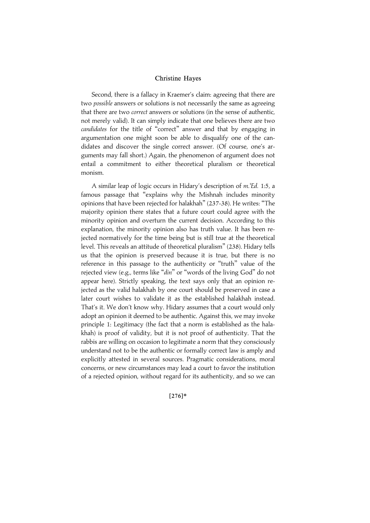Second, there is a fallacy in Kraemer's claim: agreeing that there are two possible answers or solutions is not necessarily the same as agreeing that there are two *correct* answers or solutions (in the sense of authentic, not merely valid). It can simply indicate that one believes there are two candidates for the title of "correct" answer and that by engaging in argumentation one might soon be able to disqualify one of the candidates and discover the single correct answer. (Of course, one's arguments may fall short.) Again, the phenomenon of argument does not entail a commitment to either theoretical pluralism or theoretical monism.

A similar leap of logic occurs in Hidary's description of m.'Ed. 1:5, a famous passage that ''explains why the Mishnah includes minority opinions that have been rejected for halakhah'' (237-38). He writes: ''The majority opinion there states that a future court could agree with the minority opinion and overturn the current decision. According to this explanation, the minority opinion also has truth value. It has been rejected normatively for the time being but is still true at the theoretical level. This reveals an attitude of theoretical pluralism'' (238). Hidary tells us that the opinion is preserved because it is true, but there is no reference in this passage to the authenticity or ''truth'' value of the rejected view (e.g., terms like "din" or "words of the living God" do not appear here). Strictly speaking, the text says only that an opinion rejected as the valid halakhah by one court should be preserved in case a later court wishes to validate it as the established halakhah instead. That's it. We don't know why. Hidary assumes that a court would only adopt an opinion it deemed to be authentic. Against this, we may invoke principle 1: Legitimacy (the fact that a norm is established as the halakhah) is proof of validity, but it is not proof of authenticity. That the rabbis are willing on occasion to legitimate a norm that they consciously understand not to be the authentic or formally correct law is amply and explicitly attested in several sources. Pragmatic considerations, moral concerns, or new circumstances may lead a court to favor the institution of a rejected opinion, without regard for its authenticity, and so we can

 $[276]*$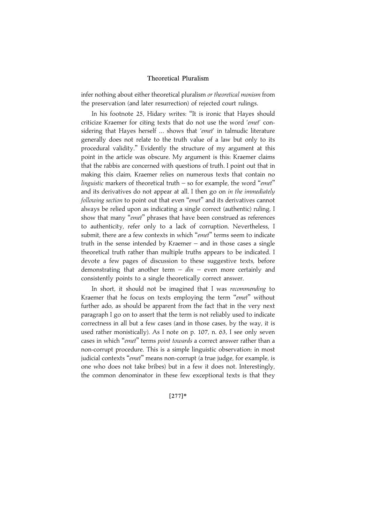infer nothing about either theoretical pluralism or theoretical monism from the preservation (and later resurrection) of rejected court rulings.

In his footnote 25, Hidary writes: ''It is ironic that Hayes should criticize Kraemer for citing texts that do not use the word 'emet' considering that Hayes herself ... shows that 'emet' in talmudic literature generally does not relate to the truth value of a law but only to its procedural validity.'' Evidently the structure of my argument at this point in the article was obscure. My argument is this: Kraemer claims that the rabbis are concerned with questions of truth. I point out that in making this claim, Kraemer relies on numerous texts that contain no linguistic markers of theoretical truth  $-$  so for example, the word "emet" and its derivatives do not appear at all. I then go on in the immediately following section to point out that even "emet" and its derivatives cannot always be relied upon as indicating a single correct (authentic) ruling. I show that many "emet" phrases that have been construed as references to authenticity, refer only to a lack of corruption. Nevertheless, I submit, there are a few contexts in which "emet" terms seem to indicate truth in the sense intended by Kraemer – and in those cases a single theoretical truth rather than multiple truths appears to be indicated. I devote a few pages of discussion to these suggestive texts, before demonstrating that another term  $-$  din  $-$  even more certainly and consistently points to a single theoretically correct answer.

In short, it should not be imagined that I was recommending to Kraemer that he focus on texts employing the term "emet" without further ado, as should be apparent from the fact that in the very next paragraph I go on to assert that the term is not reliably used to indicate correctness in all but a few cases (and in those cases, by the way, it is used rather monistically). As I note on p. 107, n. 63, I see only seven cases in which "emet" terms point towards a correct answer rather than a non-corrupt procedure. This is a simple linguistic observation: in most judicial contexts "emet" means non-corrupt (a true judge, for example, is one who does not take bribes) but in a few it does not. Interestingly, the common denominator in these few exceptional texts is that they

#### $[277]*$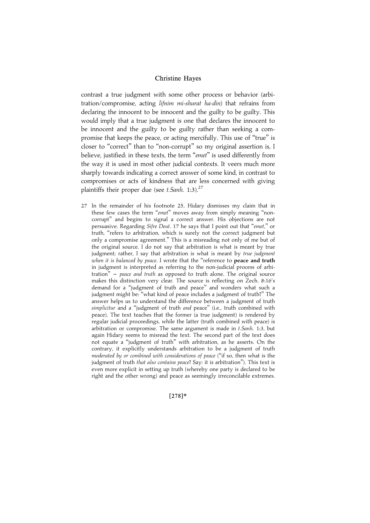contrast a true judgment with some other process or behavior (arbitration/compromise, acting lifnim mi-shurat ha-din) that refrains from declaring the innocent to be innocent and the guilty to be guilty. This would imply that a true judgment is one that declares the innocent to be innocent and the guilty to be guilty rather than seeking a compromise that keeps the peace, or acting mercifully. This use of ''true'' is closer to ''correct'' than to ''non-corrupt'' so my original assertion is, I believe, justified: in these texts, the term "emet" is used differently from the way it is used in most other judicial contexts. It veers much more sharply towards indicating a correct answer of some kind, in contrast to compromises or acts of kindness that are less concerned with giving plaintiffs their proper due (see t. Sanh. 1:3).<sup>27</sup>

27 In the remainder of his footnote 25, Hidary dismisses my claim that in these few cases the term "emet" moves away from simply meaning "noncorrupt'' and begins to signal a correct answer. His objections are not persuasive. Regarding Sifre Deut. 17 he says that I point out that ''emet,'' or truth, ''refers to arbitration, which is surely not the correct judgment but only a compromise agreement.'' This is a misreading not only of me but of the original source. I do not say that arbitration is what is meant by true judgment; rather, I say that arbitration is what is meant by true judgment when it is balanced by peace. I wrote that the "reference to peace and truth in judgment is interpreted as referring to the non-judicial process of arbitration"  $-$  peace and truth as opposed to truth alone. The original source makes this distinction very clear. The source is reflecting on Zech. 8:16's demand for a ''judgment of truth and peace'' and wonders what such a judgment might be: ''what kind of peace includes a judgment of truth?'' The answer helps us to understand the difference between a judgment of truth simplicitur and a "judgment of truth and peace" (i.e., truth combined with peace). The text teaches that the former (a true judgment) is rendered by regular judicial proceedings, while the latter (truth combined with peace) is arbitration or compromise. The same argument is made in t. Sanh. 1:3, but again Hidary seems to misread the text. The second part of the text does not equate a ''judgment of truth'' with arbitration, as he asserts. On the contrary, it explicitly understands arbitration to be a judgment of truth moderated by or combined with considerations of peace (''if so, then what is the judgment of truth that also contains peace? Say: it is arbitration"). This text is even more explicit in setting up truth (whereby one party is declared to be right and the other wrong) and peace as seemingly irreconcilable extremes.

#### $[278]*$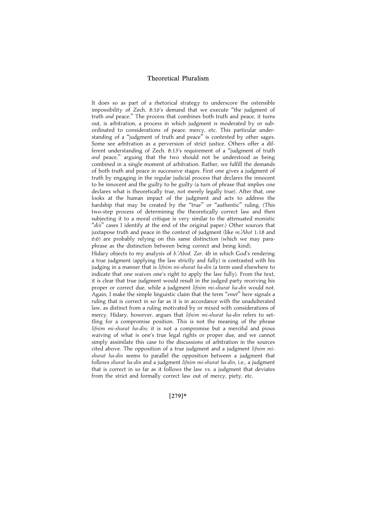It does so as part of a rhetorical strategy to underscore the ostensible impossibility of Zech. 8:16's demand that we execute ''the judgment of truth and peace.'' The process that combines both truth and peace, it turns out, is arbitration, a process in which judgment is moderated by or subordinated to considerations of peace, mercy, etc. This particular understanding of a ''judgment of truth and peace'' is contested by other sages. Some see arbitration as a perversion of strict justice. Others offer a different understanding of Zech. 8:13's requirement of a ''judgment of truth and peace," arguing that the two should not be understood as being combined in a single moment of arbitration. Rather, we fulfill the demands of both truth and peace in successive stages. First one gives a judgment of truth by engaging in the regular judicial process that declares the innocent to be innocent and the guilty to be guilty (a turn of phrase that implies one declares what is theoretically true, not merely legally true). After that, one looks at the human impact of the judgment and acts to address the hardship that may be created by the "true" or "authentic" ruling. (This two-step process of determining the theoretically correct law and then subjecting it to a moral critique is very similar to the attenuated monistic "din" cases I identify at the end of the original paper.) Other sources that juxtapose truth and peace in the context of judgment (like m.'Abot 1:18 and 6:6) are probably relying on this same distinction (which we may paraphrase as the distinction between being correct and being kind).

Hidary objects to my analysis of b.'Abod. Zar. 4b in which God's rendering a true judgment (applying the law strictly and fully) is contrasted with his judging in a manner that is lifnim mi-shurat ha-din (a term used elsewhere to indicate that one waives one's right to apply the law fully). From the text, it is clear that true judgment would result in the judged party receiving his proper or correct due, while a judgment lifnim mi-shurat ha-din would not. Again, I make the simple linguistic claim that the term "emet" here signals a ruling that is correct in so far as it is in accordance with the unadulterated law, as distinct from a ruling motivated by or mixed with considerations of mercy. Hidary, however, argues that lifnim mi-shurat ha-din refers to settling for a compromise position. This is not the meaning of the phrase lifnim mi-shurat ha-din; it is not a compromise but a merciful and pious waiving of what is one's true legal rights or proper due, and we cannot simply assimilate this case to the discussions of arbitration in the sources cited above. The opposition of a true judgment and a judgment lifnim mishurat ha-din seems to parallel the opposition between a judgment that follows shurat ha-din and a judgment lifnim mi-shurat ha-din, i.e., a judgment that is correct in so far as it follows the law vs. a judgment that deviates from the strict and formally correct law out of mercy, piety, etc.

 $[279]*$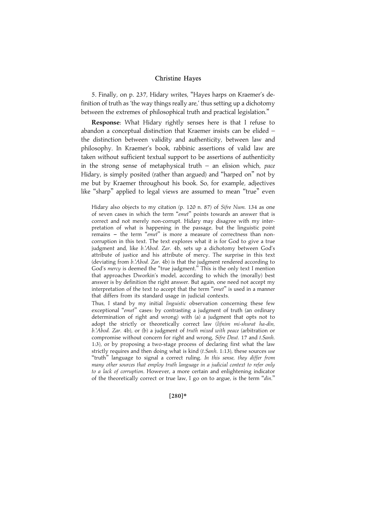5. Finally, on p. 237, Hidary writes, ''Hayes harps on Kraemer's definition of truth as 'the way things really are,' thus setting up a dichotomy between the extremes of philosophical truth and practical legislation.''

Response: What Hidary rightly senses here is that I refuse to abandon a conceptual distinction that Kraemer insists can be elided – the distinction between validity and authenticity, between law and philosophy. In Kraemer's book, rabbinic assertions of valid law are taken without sufficient textual support to be assertions of authenticity in the strong sense of metaphysical truth – an elision which, pace Hidary, is simply posited (rather than argued) and ''harped on'' not by me but by Kraemer throughout his book. So, for example, adjectives like ''sharp'' applied to legal views are assumed to mean ''true'' even

Hidary also objects to my citation (p. 120 n. 87) of Sifre Num. 134 as one of seven cases in which the term "emet" points towards an answer that is correct and not merely non-corrupt. Hidary may disagree with my interpretation of what is happening in the passage, but the linguistic point remains - the term "emet" is more a measure of correctness than noncorruption in this text. The text explores what it is for God to give a true judgment and, like b.'Abod. Zar. 4b, sets up a dichotomy between God's attribute of justice and his attribute of mercy. The surprise in this text (deviating from b.'Abod. Zar. 4b) is that the judgment rendered according to God's mercy is deemed the "true judgment." This is the only text I mention that approaches Dworkin's model, according to which the (morally) best answer is by definition the right answer. But again, one need not accept my interpretation of the text to accept that the term "emet" is used in a manner that differs from its standard usage in judicial contexts.

Thus, I stand by my initial linguistic observation concerning these few exceptional "emet" cases: by contrasting a judgment of truth (an ordinary determination of right and wrong) with (a) a judgment that opts not to adopt the strictly or theoretically correct law (lifnim mi-shurat ha-din, b.'Abod. Zar. 4b), or (b) a judgment of truth mixed with peace (arbitration or compromise without concern for right and wrong, Sifre Deut. 17 and t.Sanh. 1:3), or by proposing a two-stage process of declaring first what the law strictly requires and then doing what is kind (t. Sanh. 1:13), these sources use "truth" language to signal a correct ruling. In this sense, they differ from many other sources that employ truth language in a judicial context to refer only to a lack of corruption. However, a more certain and enlightening indicator of the theoretically correct or true law, I go on to argue, is the term ''din.''

 $[280]*$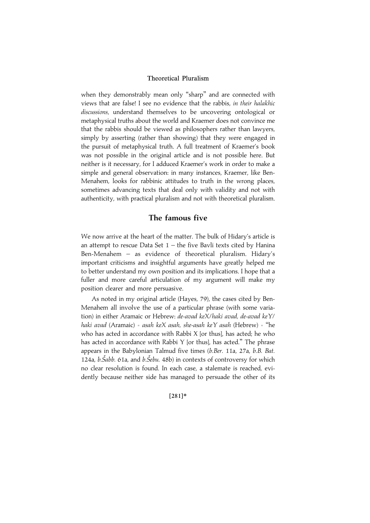when they demonstrably mean only "sharp" and are connected with views that are false! I see no evidence that the rabbis, in their halakhic discussions, understand themselves to be uncovering ontological or metaphysical truths about the world and Kraemer does not convince me that the rabbis should be viewed as philosophers rather than lawyers, simply by asserting (rather than showing) that they were engaged in the pursuit of metaphysical truth. A full treatment of Kraemer's book was not possible in the original article and is not possible here. But neither is it necessary, for I adduced Kraemer's work in order to make a simple and general observation: in many instances, Kraemer, like Ben-Menahem, looks for rabbinic attitudes to truth in the wrong places, sometimes advancing texts that deal only with validity and not with authenticity, with practical pluralism and not with theoretical pluralism.

## The famous five

We now arrive at the heart of the matter. The bulk of Hidary's article is an attempt to rescue Data Set  $1$  – the five Bavli texts cited by Hanina Ben-Menahem – as evidence of theoretical pluralism. Hidary's important criticisms and insightful arguments have greatly helped me to better understand my own position and its implications. I hope that a fuller and more careful articulation of my argument will make my position clearer and more persuasive.

As noted in my original article (Hayes, 79), the cases cited by Ben-Menahem all involve the use of a particular phrase (with some variation) in either Aramaic or Hebrew: de-avad keX/haki avad, de-avad keY/ haki avad (Aramaic) = asah keX asah, she-asah keY asah (Hebrew) = "he who has acted in accordance with Rabbi X [or thus], has acted; he who has acted in accordance with Rabbi Y [or thus], has acted.'' The phrase appears in the Babylonian Talmud five times (b.Ber. 11a, 27a, b.B. Bat. 124a, b.Šabb. 61a, and b.Šebu. 48b) in contexts of controversy for which no clear resolution is found. In each case, a stalemate is reached, evidently because neither side has managed to persuade the other of its

#### $[281]*$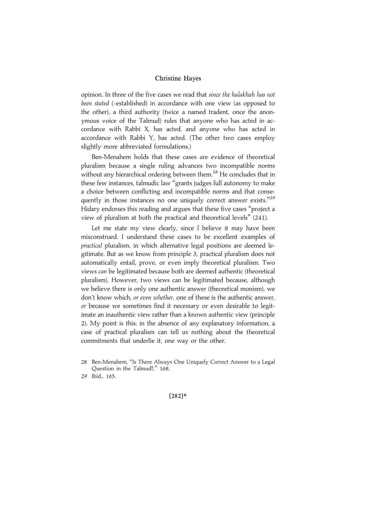opinion. In three of the five cases we read that since the halakhah has not been stated (=established) in accordance with one view (as opposed to the other), a third authority (twice a named tradent, once the anonymous voice of the Talmud) rules that anyone who has acted in accordance with Rabbi X, has acted, and anyone who has acted in accordance with Rabbi Y, has acted. (The other two cases employ slightly more abbreviated formulations.)

Ben-Menahem holds that these cases are evidence of theoretical pluralism because a single ruling advances two incompatible norms without any hierarchical ordering between them.<sup>28</sup> He concludes that in these few instances, talmudic law ''grants judges full autonomy to make a choice between conflicting and incompatible norms and that consequently in those instances no one uniquely correct answer exists."<sup>29</sup> Hidary endorses this reading and argues that these five cases ''project a view of pluralism at both the practical and theoretical levels'' (241).

Let me state my view clearly, since I believe it may have been misconstrued. I understand these cases to be excellent examples of practical pluralism, in which alternative legal positions are deemed legitimate. But as we know from principle 3, practical pluralism does not automatically entail, prove, or even imply theoretical pluralism. Two views can be legitimated because both are deemed authentic (theoretical pluralism). However, two views can be legitimated because, although we believe there is only one authentic answer (theoretical monism), we don't know which, or even whether, one of these is the authentic answer, or because we sometimes find it necessary or even desirable to legitimate an inauthentic view rather than a known authentic view (principle 2). My point is this: in the absence of any explanatory information, a case of practical pluralism can tell us nothing about the theoretical commitments that underlie it, one way or the other.

 $[282]*$ 

<sup>28</sup> Ben-Menahem, ''Is There Always One Uniquely Correct Answer to a Legal Question in the Talmud?," 168.

<sup>29</sup> Ibid., 165.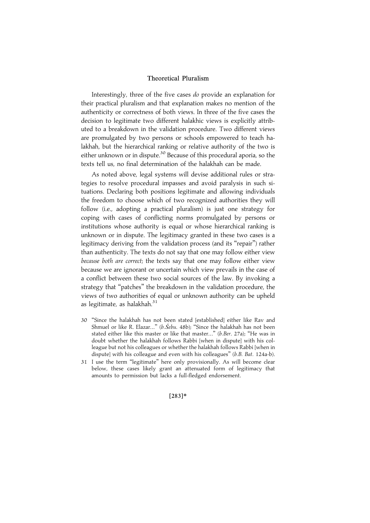Interestingly, three of the five cases do provide an explanation for their practical pluralism and that explanation makes no mention of the authenticity or correctness of both views. In three of the five cases the decision to legitimate two different halakhic views is explicitly attributed to a breakdown in the validation procedure. Two different views are promulgated by two persons or schools empowered to teach halakhah, but the hierarchical ranking or relative authority of the two is either unknown or in dispute.<sup>30</sup> Because of this procedural aporia, so the texts tell us, no final determination of the halakhah can be made.

As noted above, legal systems will devise additional rules or strategies to resolve procedural impasses and avoid paralysis in such situations. Declaring both positions legitimate and allowing individuals the freedom to choose which of two recognized authorities they will follow (i.e., adopting a practical pluralism) is just one strategy for coping with cases of conflicting norms promulgated by persons or institutions whose authority is equal or whose hierarchical ranking is unknown or in dispute. The legitimacy granted in these two cases is a legitimacy deriving from the validation process (and its ''repair'') rather than authenticity. The texts do not say that one may follow either view because both are correct; the texts say that one may follow either view because we are ignorant or uncertain which view prevails in the case of a conflict between these two social sources of the law. By invoking a strategy that ''patches'' the breakdown in the validation procedure, the views of two authorities of equal or unknown authority can be upheld as legitimate, as halakhah. $31$ 

- 30 ''Since the halakhah has not been stated [established] either like Rav and Shmuel or like R. Elazar..." (b.S̆ebu. 48b); "Since the halakhah has not been stated either like this master or like that master...'' (b.Ber. 27a); ''He was in doubt whether the halakhah follows Rabbi [when in dispute] with his colleague but not his colleagues or whether the halakhah follows Rabbi [when in dispute] with his colleague and even with his colleagues" (b.B. Bat. 124a-b).
- 31 I use the term ''legitimate'' here only provisionally. As will become clear below, these cases likely grant an attenuated form of legitimacy that amounts to permission but lacks a full-fledged endorsement.

 $[283]*$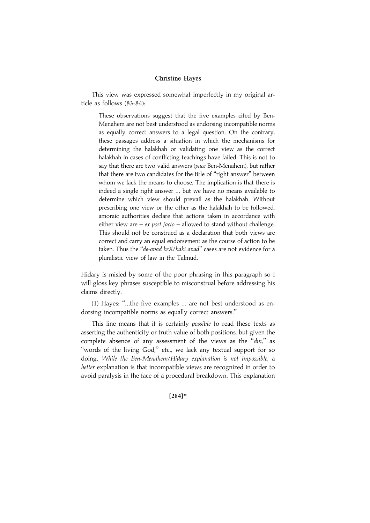This view was expressed somewhat imperfectly in my original article as follows (83-84):

These observations suggest that the five examples cited by Ben-Menahem are not best understood as endorsing incompatible norms as equally correct answers to a legal question. On the contrary, these passages address a situation in which the mechanisms for determining the halakhah or validating one view as the correct halakhah in cases of conflicting teachings have failed. This is not to say that there are two valid answers (pace Ben-Menahem), but rather that there are two candidates for the title of ''right answer'' between whom we lack the means to choose. The implication is that there is indeed a single right answer ... but we have no means available to determine which view should prevail as the halakhah. Without prescribing one view or the other as the halakhah to be followed, amoraic authorities declare that actions taken in accordance with either view are  $-e^{ix}$  post facto  $-$  allowed to stand without challenge. This should not be construed as a declaration that both views are correct and carry an equal endorsement as the course of action to be taken. Thus the "de-avad keX/haki avad" cases are not evidence for a pluralistic view of law in the Talmud.

Hidary is misled by some of the poor phrasing in this paragraph so I will gloss key phrases susceptible to misconstrual before addressing his claims directly.

(1) Hayes: ''...the five examples ... are not best understood as endorsing incompatible norms as equally correct answers.''

This line means that it is certainly *possible* to read these texts as asserting the authenticity or truth value of both positions, but given the complete absence of any assessment of the views as the "din," as "words of the living God," etc., we lack any textual support for so doing. While the Ben-Menahem/Hidary explanation is not impossible, a better explanation is that incompatible views are recognized in order to avoid paralysis in the face of a procedural breakdown. This explanation

#### $[284]*$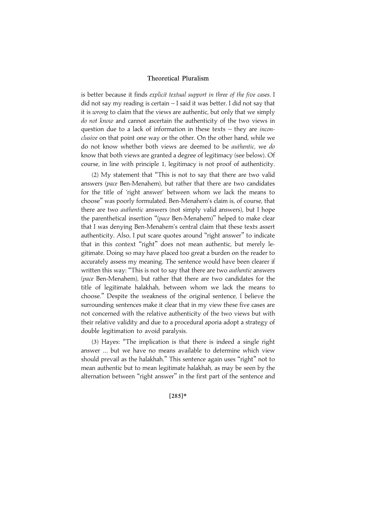is better because it finds explicit textual support in three of the five cases. I did not say my reading is certain – I said it was better. I did not say that it is wrong to claim that the views are authentic, but only that we simply do not know and cannot ascertain the authenticity of the two views in question due to a lack of information in these texts - they are *incon*clusive on that point one way or the other. On the other hand, while we do not know whether both views are deemed to be authentic, we do know that both views are granted a degree of legitimacy (see below). Of course, in line with principle 1, legitimacy is not proof of authenticity.

(2) My statement that ''This is not to say that there are two valid answers (pace Ben-Menahem), but rather that there are two candidates for the title of 'right answer' between whom we lack the means to choose'' was poorly formulated. Ben-Menahem's claim is, of course, that there are two authentic answers (not simply valid answers), but I hope the parenthetical insertion "(pace Ben-Menahem)" helped to make clear that I was denying Ben-Menahem's central claim that these texts assert authenticity. Also, I put scare quotes around "right answer" to indicate that in this context ''right'' does not mean authentic, but merely legitimate. Doing so may have placed too great a burden on the reader to accurately assess my meaning. The sentence would have been clearer if written this way: "This is not to say that there are two *authentic* answers (pace Ben-Menahem), but rather that there are two candidates for the title of legitimate halakhah, between whom we lack the means to choose.'' Despite the weakness of the original sentence, I believe the surrounding sentences make it clear that in my view these five cases are not concerned with the relative authenticity of the two views but with their relative validity and due to a procedural aporia adopt a strategy of double legitimation to avoid paralysis.

(3) Hayes: ''The implication is that there is indeed a single right answer ... but we have no means available to determine which view should prevail as the halakhah.'' This sentence again uses ''right'' not to mean authentic but to mean legitimate halakhah, as may be seen by the alternation between ''right answer'' in the first part of the sentence and

#### $[285]*$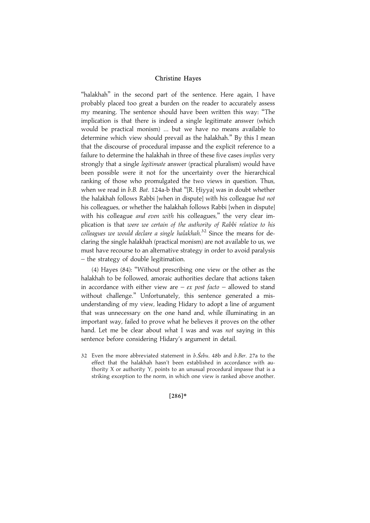"halakhah" in the second part of the sentence. Here again, I have probably placed too great a burden on the reader to accurately assess my meaning. The sentence should have been written this way: ''The implication is that there is indeed a single legitimate answer (which would be practical monism) ... but we have no means available to determine which view should prevail as the halakhah.'' By this I mean that the discourse of procedural impasse and the explicit reference to a failure to determine the halakhah in three of these five cases *implies* very strongly that a single legitimate answer (practical pluralism) would have been possible were it not for the uncertainty over the hierarchical ranking of those who promulgated the two views in question. Thus, when we read in  $b.B.$  Bat. 124a-b that "[R. Hiyya] was in doubt whether the halakhah follows Rabbi [when in dispute] with his colleague but not his colleagues, or whether the halakhah follows Rabbi [when in dispute] with his colleague and even with his colleagues," the very clear implication is that were we certain of the authority of Rabbi relative to his .<br>colleagues we would declare a single halakhah.<sup>32</sup> Since the means for declaring the single halakhah (practical monism) are not available to us, we must have recourse to an alternative strategy in order to avoid paralysis – the strategy of double legitimation.

(4) Hayes (84): ''Without prescribing one view or the other as the halakhah to be followed, amoraic authorities declare that actions taken in accordance with either view are – ex post facto – allowed to stand without challenge.'' Unfortunately, this sentence generated a misunderstanding of my view, leading Hidary to adopt a line of argument that was unnecessary on the one hand and, while illuminating in an important way, failed to prove what he believes it proves on the other hand. Let me be clear about what I was and was not saying in this sentence before considering Hidary's argument in detail.

32 Even the more abbreviated statement in b.Sebu. 48b and b.Ber. 27a to the effect that the halakhah hasn't been established in accordance with authority X or authority Y, points to an unusual procedural impasse that is a striking exception to the norm, in which one view is ranked above another.

#### $[286]*$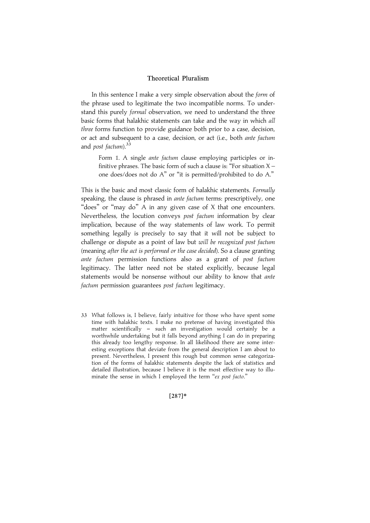In this sentence I make a very simple observation about the form of the phrase used to legitimate the two incompatible norms. To understand this purely formal observation, we need to understand the three basic forms that halakhic statements can take and the way in which all three forms function to provide guidance both prior to a case, decision, or act and subsequent to a case, decision, or act (i.e., both ante factum and *post factum*). $33$ 

Form 1. A single ante factum clause employing participles or infinitive phrases. The basic form of such a clause is: "For situation  $X$ one does/does not do A'' or ''it is permitted/prohibited to do A.''

This is the basic and most classic form of halakhic statements. Formally speaking, the clause is phrased in *ante factum* terms: prescriptively, one "does" or "may do" A in any given case of X that one encounters. Nevertheless, the locution conveys post factum information by clear implication, because of the way statements of law work. To permit something legally is precisely to say that it will not be subject to challenge or dispute as a point of law but will be recognized post factum (meaning after the act is performed or the case decided). So a clause granting ante factum permission functions also as a grant of post factum legitimacy. The latter need not be stated explicitly, because legal statements would be nonsense without our ability to know that *ante* factum permission guarantees post factum legitimacy.

33 What follows is, I believe, fairly intuitive for those who have spent some time with halakhic texts. I make no pretense of having investigated this matter scientifically - such an investigation would certainly be a worthwhile undertaking but it falls beyond anything I can do in preparing this already too lengthy response. In all likelihood there are some interesting exceptions that deviate from the general description I am about to present. Nevertheless, I present this rough but common sense categorization of the forms of halakhic statements despite the lack of statistics and detailed illustration, because I believe it is the most effective way to illuminate the sense in which I employed the term "ex post facto."

|287~\*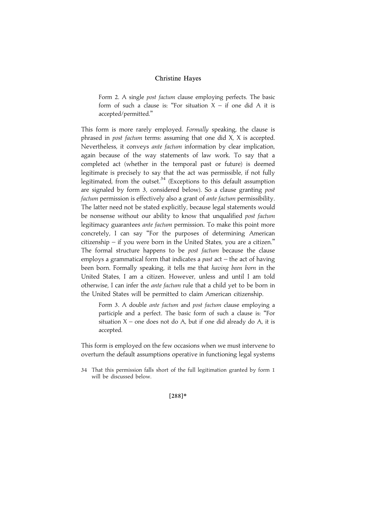Form 2. A single *post factum* clause employing perfects. The basic form of such a clause is: "For situation  $X -$  if one did A it is accepted/permitted.''

This form is more rarely employed. Formally speaking, the clause is phrased in post factum terms: assuming that one did X, X is accepted. Nevertheless, it conveys ante factum information by clear implication, again because of the way statements of law work. To say that a completed act (whether in the temporal past or future) is deemed legitimate is precisely to say that the act was permissible, if not fully legitimated, from the outset. $34$  (Exceptions to this default assumption are signaled by form 3, considered below). So a clause granting post factum permission is effectively also a grant of ante factum permissibility. The latter need not be stated explicitly, because legal statements would be nonsense without our ability to know that unqualified post factum legitimacy guarantees *ante factum* permission. To make this point more concretely, I can say ''For the purposes of determining American citizenship – if you were born in the United States, you are a citizen.'' The formal structure happens to be *post factum* because the clause employs a grammatical form that indicates a *past* act  $-$  the act of having been born. Formally speaking, it tells me that having been born in the United States, I am a citizen. However, unless and until I am told otherwise, I can infer the ante factum rule that a child yet to be born in the United States will be permitted to claim American citizenship.

Form 3. A double *ante factum* and *post factum* clause employing a participle and a perfect. The basic form of such a clause is: ''For situation  $X$  – one does not do A, but if one did already do A, it is accepted.

This form is employed on the few occasions when we must intervene to overturn the default assumptions operative in functioning legal systems

34 That this permission falls short of the full legitimation granted by form 1 will be discussed below.

 $[288]*$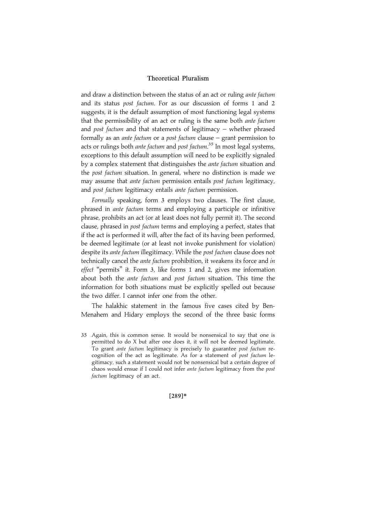and draw a distinction between the status of an act or ruling ante factum and its status post factum. For as our discussion of forms 1 and 2 suggests, it is the default assumption of most functioning legal systems that the permissibility of an act or ruling is the same both *ante factum* and post factum and that statements of legitimacy  $-$  whether phrased formally as an ante factum or a post factum clause – grant permission to acts or rulings both ante factum and post factum.<sup>35</sup> In most legal systems, exceptions to this default assumption will need to be explicitly signaled by a complex statement that distinguishes the *ante factum* situation and the post factum situation. In general, where no distinction is made we may assume that *ante factum* permission entails *post factum* legitimacy, and post factum legitimacy entails ante factum permission.

Formally speaking, form 3 employs two clauses. The first clause, phrased in ante factum terms and employing a participle or infinitive phrase, prohibits an act (or at least does not fully permit it). The second clause, phrased in post factum terms and employing a perfect, states that if the act is performed it will, after the fact of its having been performed, be deemed legitimate (or at least not invoke punishment for violation) despite its *ante factum* illegitimacy. While the *post factum* clause does not technically cancel the *ante factum* prohibition, it weakens its force and in effect ''permits'' it. Form 3, like forms 1 and 2, gives me information about both the ante factum and post factum situation. This time the information for both situations must be explicitly spelled out because the two differ. I cannot infer one from the other.

The halakhic statement in the famous five cases cited by Ben-Menahem and Hidary employs the second of the three basic forms

35 Again, this is common sense. It would be nonsensical to say that one is permitted to do X but after one does it, it will not be deemed legitimate. To grant ante factum legitimacy is precisely to guarantee post factum recognition of the act as legitimate. As for a statement of post factum legitimacy, such a statement would not be nonsensical but a certain degree of chaos would ensue if I could not infer ante factum legitimacy from the post factum legitimacy of an act.

[289]\*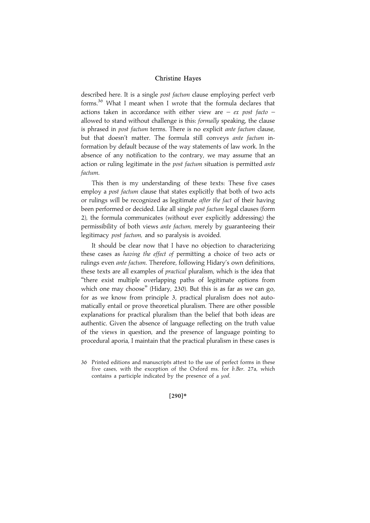described here. It is a single post factum clause employing perfect verb forms.<sup>36</sup> What I meant when I wrote that the formula declares that actions taken in accordance with either view are  $-$  ex post facto  $$ allowed to stand without challenge is this: formally speaking, the clause is phrased in *post factum terms*. There is no explicit ante factum clause, but that doesn't matter. The formula still conveys ante factum information by default because of the way statements of law work. In the absence of any notification to the contrary, we may assume that an action or ruling legitimate in the post factum situation is permitted ante factum.

This then is my understanding of these texts: These five cases employ a *post factum* clause that states explicitly that both of two acts or rulings will be recognized as legitimate *after the fact* of their having been performed or decided. Like all single post factum legal clauses (form 2), the formula communicates (without ever explicitly addressing) the permissibility of both views ante factum, merely by guaranteeing their legitimacy post factum, and so paralysis is avoided.

It should be clear now that I have no objection to characterizing these cases as having the effect of permitting a choice of two acts or rulings even *ante factum*. Therefore, following Hidary's own definitions, these texts are all examples of *practical* pluralism, which is the idea that ''there exist multiple overlapping paths of legitimate options from which one may choose'' (Hidary, 230). But this is as far as we can go, for as we know from principle 3, practical pluralism does not automatically entail or prove theoretical pluralism. There are other possible explanations for practical pluralism than the belief that both ideas are authentic. Given the absence of language reflecting on the truth value of the views in question, and the presence of language pointing to procedural aporia, I maintain that the practical pluralism in these cases is

#### $[290]*$

<sup>36</sup> Printed editions and manuscripts attest to the use of perfect forms in these five cases, with the exception of the Oxford ms. for b.Ber. 27a, which contains a participle indicated by the presence of a yod.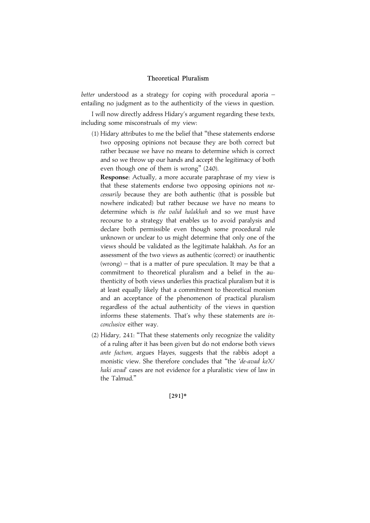better understood as a strategy for coping with procedural aporia entailing no judgment as to the authenticity of the views in question.

I will now directly address Hidary's argument regarding these texts, including some misconstruals of my view:

(1) Hidary attributes to me the belief that ''these statements endorse two opposing opinions not because they are both correct but rather because we have no means to determine which is correct and so we throw up our hands and accept the legitimacy of both even though one of them is wrong'' (240).

Response: Actually, a more accurate paraphrase of my view is that these statements endorse two opposing opinions not necessarily because they are both authentic (that is possible but nowhere indicated) but rather because we have no means to determine which is the valid halakhah and so we must have recourse to a strategy that enables us to avoid paralysis and declare both permissible even though some procedural rule unknown or unclear to us might determine that only one of the views should be validated as the legitimate halakhah. As for an assessment of the two views as authentic (correct) or inauthentic (wrong) – that is a matter of pure speculation. It may be that a commitment to theoretical pluralism and a belief in the authenticity of both views underlies this practical pluralism but it is at least equally likely that a commitment to theoretical monism and an acceptance of the phenomenon of practical pluralism regardless of the actual authenticity of the views in question informs these statements. That's why these statements are inconclusive either way.

(2) Hidary, 241: ''That these statements only recognize the validity of a ruling after it has been given but do not endorse both views ante factum, argues Hayes, suggests that the rabbis adopt a monistic view. She therefore concludes that ''the 'de-avad keX/ haki avad' cases are not evidence for a pluralistic view of law in the Talmud.''

 $[291]*$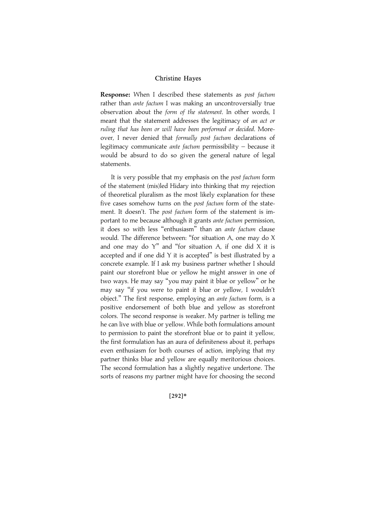Response: When I described these statements as post factum rather than *ante factum* I was making an uncontroversially true observation about the form of the statement. In other words, I meant that the statement addresses the legitimacy of an act or ruling that has been or will have been performed or decided. Moreover, I never denied that formally post factum declarations of legitimacy communicate ante factum permissibility – because it would be absurd to do so given the general nature of legal statements.

It is very possible that my emphasis on the post factum form of the statement (mis)led Hidary into thinking that my rejection of theoretical pluralism as the most likely explanation for these five cases somehow turns on the post factum form of the statement. It doesn't. The post factum form of the statement is important to me because although it grants ante factum permission, it does so with less ''enthusiasm'' than an ante factum clause would. The difference between: ''for situation A, one may do X and one may do  $Y''$  and "for situation A, if one did X it is accepted and if one did Y it is accepted'' is best illustrated by a concrete example. If I ask my business partner whether I should paint our storefront blue or yellow he might answer in one of two ways. He may say ''you may paint it blue or yellow'' or he may say ''if you were to paint it blue or yellow, I wouldn't object.'' The first response, employing an ante factum form, is a positive endorsement of both blue and yellow as storefront colors. The second response is weaker. My partner is telling me he can live with blue or yellow. While both formulations amount to permission to paint the storefront blue or to paint it yellow, the first formulation has an aura of definiteness about it, perhaps even enthusiasm for both courses of action, implying that my partner thinks blue and yellow are equally meritorious choices. The second formulation has a slightly negative undertone. The sorts of reasons my partner might have for choosing the second

#### $[292]*$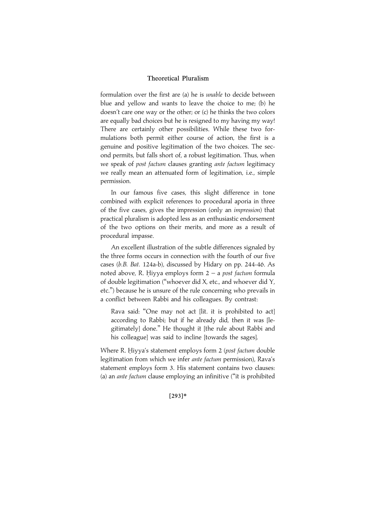formulation over the first are (a) he is unable to decide between blue and yellow and wants to leave the choice to me; (b) he doesn't care one way or the other; or (c) he thinks the two colors are equally bad choices but he is resigned to my having my way! There are certainly other possibilities. While these two formulations both permit either course of action, the first is a genuine and positive legitimation of the two choices. The second permits, but falls short of, a robust legitimation. Thus, when we speak of post factum clauses granting ante factum legitimacy we really mean an attenuated form of legitimation, i.e., simple permission.

In our famous five cases, this slight difference in tone combined with explicit references to procedural aporia in three of the five cases, gives the impression (only an impression) that practical pluralism is adopted less as an enthusiastic endorsement of the two options on their merits, and more as a result of procedural impasse.

An excellent illustration of the subtle differences signaled by the three forms occurs in connection with the fourth of our five cases (b.B. Bat. 124a-b), discussed by Hidary on pp. 244-46. As noted above, R. Hiyya employs form  $2 - a$  post factum formula of double legitimation (''whoever did X, etc., and whoever did Y, etc.'') because he is unsure of the rule concerning who prevails in a conflict between Rabbi and his colleagues. By contrast:

Rava said: ''One may not act [lit. it is prohibited to act] according to Rabbi; but if he already did, then it was [legitimately] done.'' He thought it [the rule about Rabbi and his colleague] was said to incline [towards the sages].

Where R. Hiyya's statement employs form 2 (post factum double legitimation from which we infer ante factum permission), Rava's statement employs form 3. His statement contains two clauses: (a) an ante factum clause employing an infinitive (''it is prohibited

#### [293]\*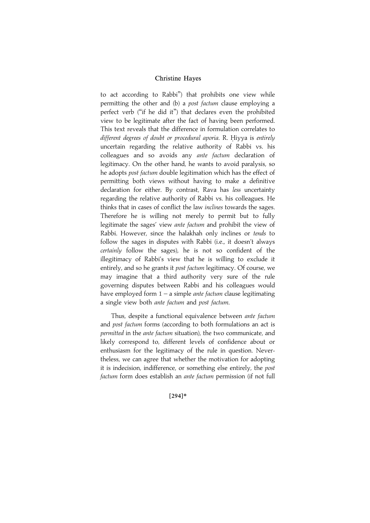to act according to Rabbi'') that prohibits one view while permitting the other and (b) a post factum clause employing a perfect verb (''if he did it'') that declares even the prohibited view to be legitimate after the fact of having been performed. This text reveals that the difference in formulation correlates to different degrees of doubt or procedural aporia. R. Hiyya is entirely uncertain regarding the relative authority of Rabbi vs. his colleagues and so avoids any ante factum declaration of legitimacy. On the other hand, he wants to avoid paralysis, so he adopts post factum double legitimation which has the effect of permitting both views without having to make a definitive declaration for either. By contrast, Rava has less uncertainty regarding the relative authority of Rabbi vs. his colleagues. He thinks that in cases of conflict the law inclines towards the sages. Therefore he is willing not merely to permit but to fully legitimate the sages' view ante factum and prohibit the view of Rabbi. However, since the halakhah only inclines or tends to follow the sages in disputes with Rabbi (i.e., it doesn't always certainly follow the sages), he is not so confident of the illegitimacy of Rabbi's view that he is willing to exclude it entirely, and so he grants it post factum legitimacy. Of course, we may imagine that a third authority very sure of the rule governing disputes between Rabbi and his colleagues would have employed form  $1 - a$  simple *ante factum* clause legitimating a single view both ante factum and post factum.

Thus, despite a functional equivalence between ante factum and post factum forms (according to both formulations an act is permitted in the ante factum situation), the two communicate, and likely correspond to, different levels of confidence about or enthusiasm for the legitimacy of the rule in question. Nevertheless, we can agree that whether the motivation for adopting it is indecision, indifference, or something else entirely, the post factum form does establish an ante factum permission (if not full

#### [294]\*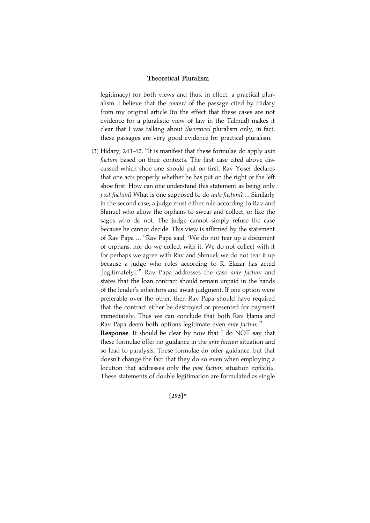legitimacy) for both views and thus, in effect, a practical pluralism. I believe that the context of the passage cited by Hidary from my original article (to the effect that these cases are not evidence for a pluralistic view of law in the Talmud) makes it clear that I was talking about theoretical pluralism only; in fact, these passages are very good evidence for practical pluralism.

(3) Hidary, 241-42: ''It is manifest that these formulae do apply ante factum based on their contexts. The first case cited above discussed which shoe one should put on first. Rav Yosef declares that one acts properly whether he has put on the right or the left shoe first. How can one understand this statement as being only post factum? What is one supposed to do ante factum? ... Similarly in the second case, a judge must either rule according to Rav and Shmuel who allow the orphans to swear and collect, or like the sages who do not. The judge cannot simply refuse the case because he cannot decide. This view is affirmed by the statement of Rav Papa ... ''Rav Papa said, 'We do not tear up a document of orphans, nor do we collect with it. We do not collect with it for perhaps we agree with Rav and Shmuel; we do not tear it up because a judge who rules according to R. Elazar has acted [legitimately]." Rav Papa addresses the case ante factum and states that the loan contract should remain unpaid in the hands of the lender's inheritors and await judgment. If one option were preferable over the other, then Rav Papa should have required that the contract either be destroyed or presented for payment immediately. Thus we can conclude that both Rav Hama and Rav Papa deem both options legitimate even ante factum.''

Response: It should be clear by now that I do NOT say that these formulae offer no guidance in the ante factum situation and so lead to paralysis. These formulae do offer guidance, but that doesn't change the fact that they do so even when employing a locution that addresses only the post factum situation explicitly. These statements of double legitimation are formulated as single

 $[295]*$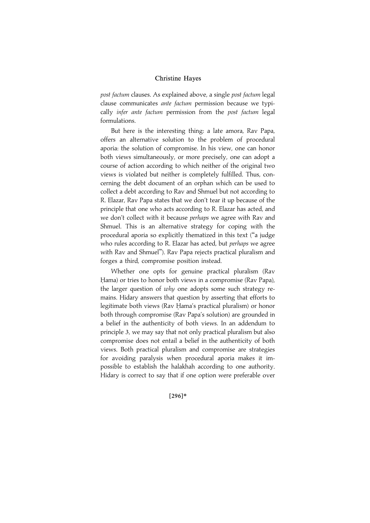post factum clauses. As explained above, a single post factum legal clause communicates ante factum permission because we typically infer ante factum permission from the post factum legal formulations.

But here is the interesting thing: a late amora, Rav Papa, offers an alternative solution to the problem of procedural aporia: the solution of compromise. In his view, one can honor both views simultaneously, or more precisely, one can adopt a course of action according to which neither of the original two views is violated but neither is completely fulfilled. Thus, concerning the debt document of an orphan which can be used to collect a debt according to Rav and Shmuel but not according to R. Elazar, Rav Papa states that we don't tear it up because of the principle that one who acts according to R. Elazar has acted, and we don't collect with it because *perhaps* we agree with Rav and Shmuel. This is an alternative strategy for coping with the procedural aporia so explicitly thematized in this text (''a judge who rules according to R. Elazar has acted, but perhaps we agree with Rav and Shmuel''). Rav Papa rejects practical pluralism and forges a third, compromise position instead.

Whether one opts for genuine practical pluralism (Rav Hama) or tries to honor both views in a compromise (Rav Papa), the larger question of why one adopts some such strategy remains. Hidary answers that question by asserting that efforts to legitimate both views (Rav Hama's practical pluralism) or honor both through compromise (Rav Papa's solution) are grounded in a belief in the authenticity of both views. In an addendum to principle 3, we may say that not only practical pluralism but also compromise does not entail a belief in the authenticity of both views. Both practical pluralism and compromise are strategies for avoiding paralysis when procedural aporia makes it impossible to establish the halakhah according to one authority. Hidary is correct to say that if one option were preferable over

#### $[296]*$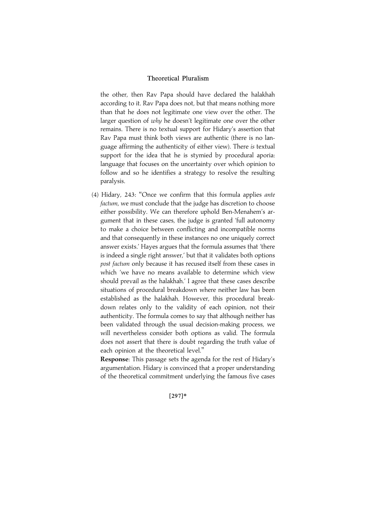the other, then Rav Papa should have declared the halakhah according to it. Rav Papa does not, but that means nothing more than that he does not legitimate one view over the other. The larger question of why he doesn't legitimate one over the other remains. There is no textual support for Hidary's assertion that Rav Papa must think both views are authentic (there is no language affirming the authenticity of either view). There is textual support for the idea that he is stymied by procedural aporia: language that focuses on the uncertainty over which opinion to follow and so he identifies a strategy to resolve the resulting paralysis.

(4) Hidary, 243: ''Once we confirm that this formula applies ante factum, we must conclude that the judge has discretion to choose either possibility. We can therefore uphold Ben-Menahem's argument that in these cases, the judge is granted 'full autonomy to make a choice between conflicting and incompatible norms and that consequently in these instances no one uniquely correct answer exists.' Hayes argues that the formula assumes that 'there is indeed a single right answer,' but that it validates both options post factum only because it has recused itself from these cases in which 'we have no means available to determine which view should prevail as the halakhah.' I agree that these cases describe situations of procedural breakdown where neither law has been established as the halakhah. However, this procedural breakdown relates only to the validity of each opinion, not their authenticity. The formula comes to say that although neither has been validated through the usual decision-making process, we will nevertheless consider both options as valid. The formula does not assert that there is doubt regarding the truth value of each opinion at the theoretical level.''

Response: This passage sets the agenda for the rest of Hidary's argumentation. Hidary is convinced that a proper understanding of the theoretical commitment underlying the famous five cases

|297~\*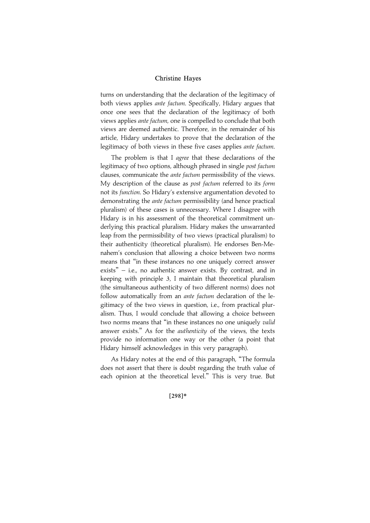turns on understanding that the declaration of the legitimacy of both views applies ante factum. Specifically, Hidary argues that once one sees that the declaration of the legitimacy of both views applies ante factum, one is compelled to conclude that both views are deemed authentic. Therefore, in the remainder of his article, Hidary undertakes to prove that the declaration of the legitimacy of both views in these five cases applies ante factum.

The problem is that I agree that these declarations of the legitimacy of two options, although phrased in single post factum clauses, communicate the ante factum permissibility of the views. My description of the clause as post factum referred to its form not its function. So Hidary's extensive argumentation devoted to demonstrating the ante factum permissibility (and hence practical pluralism) of these cases is unnecessary. Where I disagree with Hidary is in his assessment of the theoretical commitment underlying this practical pluralism. Hidary makes the unwarranted leap from the permissibility of two views (practical pluralism) to their authenticity (theoretical pluralism). He endorses Ben-Menahem's conclusion that allowing a choice between two norms means that ''in these instances no one uniquely correct answer exists'' – i.e., no authentic answer exists. By contrast, and in keeping with principle 3, I maintain that theoretical pluralism (the simultaneous authenticity of two different norms) does not follow automatically from an ante factum declaration of the legitimacy of the two views in question, i.e., from practical pluralism. Thus, I would conclude that allowing a choice between two norms means that ''in these instances no one uniquely valid answer exists.'' As for the authenticity of the views, the texts provide no information one way or the other (a point that Hidary himself acknowledges in this very paragraph).

As Hidary notes at the end of this paragraph, ''The formula does not assert that there is doubt regarding the truth value of each opinion at the theoretical level.'' This is very true. But

[298]\*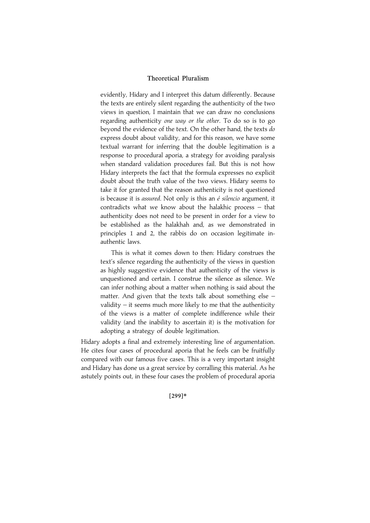evidently, Hidary and I interpret this datum differently. Because the texts are entirely silent regarding the authenticity of the two views in question, I maintain that we can draw no conclusions regarding authenticity one way or the other. To do so is to go beyond the evidence of the text. On the other hand, the texts do express doubt about validity, and for this reason, we have some textual warrant for inferring that the double legitimation is a response to procedural aporia, a strategy for avoiding paralysis when standard validation procedures fail. But this is not how Hidary interprets the fact that the formula expresses no explicit doubt about the truth value of the two views. Hidary seems to take it for granted that the reason authenticity is not questioned is because it is *assured*. Not only is this an  $\acute{e}$  silencio argument, it contradicts what we know about the halakhic process – that authenticity does not need to be present in order for a view to be established as the halakhah and, as we demonstrated in principles 1 and 2, the rabbis do on occasion legitimate inauthentic laws.

This is what it comes down to then: Hidary construes the text's silence regarding the authenticity of the views in question as highly suggestive evidence that authenticity of the views is unquestioned and certain. I construe the silence as silence. We can infer nothing about a matter when nothing is said about the matter. And given that the texts talk about something else – validity  $-$  it seems much more likely to me that the authenticity of the views is a matter of complete indifference while their validity (and the inability to ascertain it) is the motivation for adopting a strategy of double legitimation.

Hidary adopts a final and extremely interesting line of argumentation. He cites four cases of procedural aporia that he feels can be fruitfully compared with our famous five cases. This is a very important insight and Hidary has done us a great service by corralling this material. As he astutely points out, in these four cases the problem of procedural aporia

[299]\*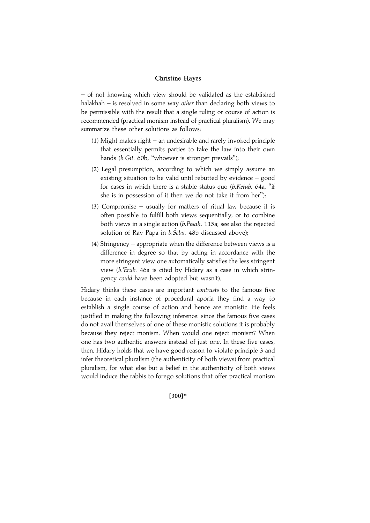– of not knowing which view should be validated as the established halakhah – is resolved in some way other than declaring both views to be permissible with the result that a single ruling or course of action is recommended (practical monism instead of practical pluralism). We may summarize these other solutions as follows:

- (1) Might makes right an undesirable and rarely invoked principle that essentially permits parties to take the law into their own hands (b.Git. 60b, "whoever is stronger prevails");
- (2) Legal presumption, according to which we simply assume an existing situation to be valid until rebutted by evidence – good for cases in which there is a stable status quo (b.Ketub. 64a, ''if she is in possession of it then we do not take it from her'');
- (3) Compromise usually for matters of ritual law because it is often possible to fulfill both views sequentially, or to combine both views in a single action  $(b.Pesah. 115a)$ ; see also the rejected solution of Rav Papa in  $b.\check{Se}bu$ . 48b discussed above);
- (4) Stringency appropriate when the difference between views is a difference in degree so that by acting in accordance with the more stringent view one automatically satisfies the less stringent view (b.'Erub. 46a is cited by Hidary as a case in which stringency could have been adopted but wasn't).

Hidary thinks these cases are important contrasts to the famous five because in each instance of procedural aporia they find a way to establish a single course of action and hence are monistic. He feels justified in making the following inference: since the famous five cases do not avail themselves of one of these monistic solutions it is probably because they reject monism. When would one reject monism? When one has two authentic answers instead of just one. In these five cases, then, Hidary holds that we have good reason to violate principle 3 and infer theoretical pluralism (the authenticity of both views) from practical pluralism, for what else but a belief in the authenticity of both views would induce the rabbis to forego solutions that offer practical monism

#### |300~\*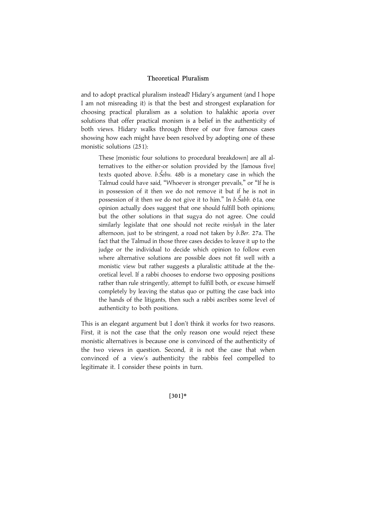and to adopt practical pluralism instead? Hidary's argument (and I hope I am not misreading it) is that the best and strongest explanation for choosing practical pluralism as a solution to halakhic aporia over solutions that offer practical monism is a belief in the authenticity of both views. Hidary walks through three of our five famous cases showing how each might have been resolved by adopting one of these monistic solutions (251):

These [monistic four solutions to procedural breakdown] are all alternatives to the either-or solution provided by the [famous five] texts quoted above. *b.Šebu.* 48b is a monetary case in which the Talmud could have said, ''Whoever is stronger prevails,'' or ''If he is in possession of it then we do not remove it but if he is not in possession of it then we do not give it to him." In b.*Šabb.* 61a, one opinion actually does suggest that one should fulfill both opinions; but the other solutions in that sugya do not agree. One could similarly legislate that one should not recite minhah in the later afternoon, just to be stringent, a road not taken by b.Ber. 27a. The fact that the Talmud in those three cases decides to leave it up to the judge or the individual to decide which opinion to follow even where alternative solutions are possible does not fit well with a monistic view but rather suggests a pluralistic attitude at the theoretical level. If a rabbi chooses to endorse two opposing positions rather than rule stringently, attempt to fulfill both, or excuse himself completely by leaving the status quo or putting the case back into the hands of the litigants, then such a rabbi ascribes some level of authenticity to both positions.

This is an elegant argument but I don't think it works for two reasons. First, it is not the case that the only reason one would reject these monistic alternatives is because one is convinced of the authenticity of the two views in question. Second, it is not the case that when convinced of a view's authenticity the rabbis feel compelled to legitimate it. I consider these points in turn.

[301]\*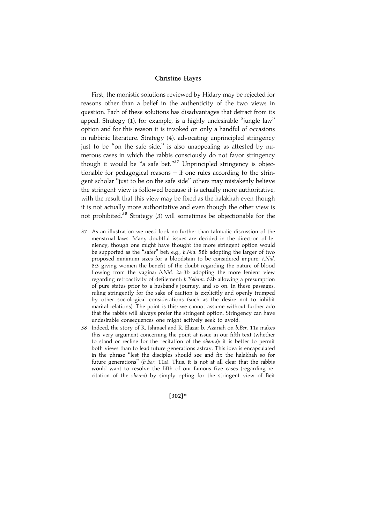First, the monistic solutions reviewed by Hidary may be rejected for reasons other than a belief in the authenticity of the two views in question. Each of these solutions has disadvantages that detract from its appeal. Strategy (1), for example, is a highly undesirable ''jungle law'' option and for this reason it is invoked on only a handful of occasions in rabbinic literature. Strategy (4), advocating unprincipled stringency just to be "on the safe side," is also unappealing as attested by numerous cases in which the rabbis consciously do not favor stringency though it would be "a safe bet."<sup>37</sup> Unprincipled stringency is objectionable for pedagogical reasons – if one rules according to the stringent scholar ''just to be on the safe side'' others may mistakenly believe the stringent view is followed because it is actually more authoritative, with the result that this view may be fixed as the halakhah even though it is not actually more authoritative and even though the other view is not prohibited.<sup>38</sup> Strategy (3) will sometimes be objectionable for the

- 37 As an illustration we need look no further than talmudic discussion of the menstrual laws. Many doubtful issues are decided in the direction of leniency, though one might have thought the more stringent option would be supported as the "safer" bet: e.g., b.Nid. 58b adopting the larger of two proposed minimum sizes for a bloodstain to be considered impure; t.Nid. 8:3 giving women the benefit of the doubt regarding the nature of blood flowing from the vagina; b.Nid. 2a-3b adopting the more lenient view regarding retroactivity of defilement; b.Yebam. 62b allowing a presumption of pure status prior to a husband's journey, and so on. In these passages, ruling stringently for the sake of caution is explicitly and openly trumped by other sociological considerations (such as the desire not to inhibit marital relations). The point is this: we cannot assume without further ado that the rabbis will always prefer the stringent option. Stringency can have undesirable consequences one might actively seek to avoid.
- 38 Indeed, the story of R. Ishmael and R. Elazar b. Azariah on b.Ber. 11a makes this very argument concerning the point at issue in our fifth text (whether to stand or recline for the recitation of the shema): it is better to permit both views than to lead future generations astray. This idea is encapsulated in the phrase ''lest the disciples should see and fix the halakhah so for future generations" (b. Ber. 11a). Thus, it is not at all clear that the rabbis would want to resolve the fifth of our famous five cases (regarding recitation of the shema) by simply opting for the stringent view of Beit

 $[302]*$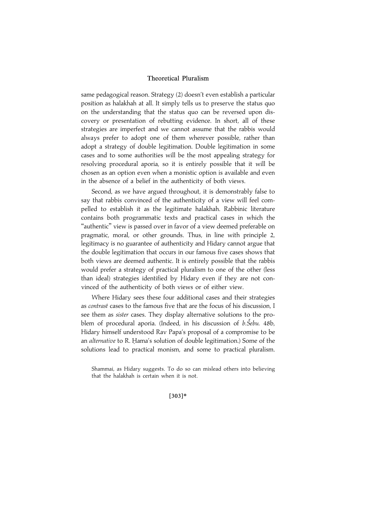same pedagogical reason. Strategy (2) doesn't even establish a particular position as halakhah at all. It simply tells us to preserve the status quo on the understanding that the status quo can be reversed upon discovery or presentation of rebutting evidence. In short, all of these strategies are imperfect and we cannot assume that the rabbis would always prefer to adopt one of them wherever possible, rather than adopt a strategy of double legitimation. Double legitimation in some cases and to some authorities will be the most appealing strategy for resolving procedural aporia, so it is entirely possible that it will be chosen as an option even when a monistic option is available and even in the absence of a belief in the authenticity of both views.

Second, as we have argued throughout, it is demonstrably false to say that rabbis convinced of the authenticity of a view will feel compelled to establish it as the legitimate halakhah. Rabbinic literature contains both programmatic texts and practical cases in which the ''authentic'' view is passed over in favor of a view deemed preferable on pragmatic, moral, or other grounds. Thus, in line with principle 2, legitimacy is no guarantee of authenticity and Hidary cannot argue that the double legitimation that occurs in our famous five cases shows that both views are deemed authentic. It is entirely possible that the rabbis would prefer a strategy of practical pluralism to one of the other (less than ideal) strategies identified by Hidary even if they are not convinced of the authenticity of both views or of either view.

Where Hidary sees these four additional cases and their strategies as contrast cases to the famous five that are the focus of his discussion, I see them as *sister* cases. They display alternative solutions to the problem of procedural aporia. (Indeed, in his discussion of b. Šebu. 48b, Hidary himself understood Rav Papa's proposal of a compromise to be an *alternative* to R. Hama's solution of double legitimation.) Some of the solutions lead to practical monism, and some to practical pluralism.

#### |303~\*

Shammai, as Hidary suggests. To do so can mislead others into believing that the halakhah is certain when it is not.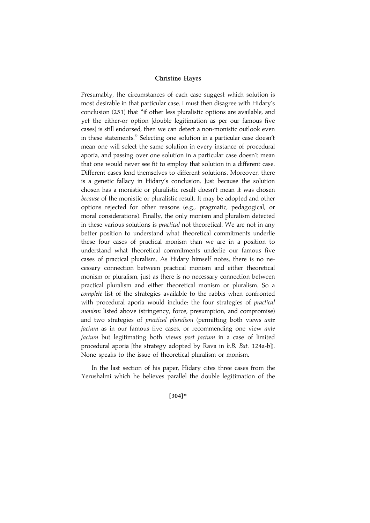Presumably, the circumstances of each case suggest which solution is most desirable in that particular case. I must then disagree with Hidary's conclusion (251) that ''if other less pluralistic options are available, and yet the either-or option [double legitimation as per our famous five cases] is still endorsed, then we can detect a non-monistic outlook even in these statements.'' Selecting one solution in a particular case doesn't mean one will select the same solution in every instance of procedural aporia, and passing over one solution in a particular case doesn't mean that one would never see fit to employ that solution in a different case. Different cases lend themselves to different solutions. Moreover, there is a genetic fallacy in Hidary's conclusion. Just because the solution chosen has a monistic or pluralistic result doesn't mean it was chosen because of the monistic or pluralistic result. It may be adopted and other options rejected for other reasons (e.g., pragmatic, pedagogical, or moral considerations). Finally, the only monism and pluralism detected in these various solutions is *practical* not theoretical. We are not in any better position to understand what theoretical commitments underlie these four cases of practical monism than we are in a position to understand what theoretical commitments underlie our famous five cases of practical pluralism. As Hidary himself notes, there is no necessary connection between practical monism and either theoretical monism or pluralism, just as there is no necessary connection between practical pluralism and either theoretical monism or pluralism. So a complete list of the strategies available to the rabbis when confronted with procedural aporia would include: the four strategies of *practical* monism listed above (stringency, force, presumption, and compromise) and two strategies of practical pluralism (permitting both views ante factum as in our famous five cases, or recommending one view ante factum but legitimating both views post factum in a case of limited procedural aporia [the strategy adopted by Rava in b.B. Bat. 124a-b]). None speaks to the issue of theoretical pluralism or monism.

In the last section of his paper, Hidary cites three cases from the Yerushalmi which he believes parallel the double legitimation of the

 $[304]*$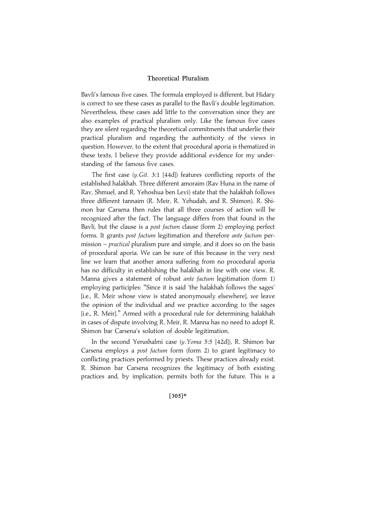Bavli's famous five cases. The formula employed is different, but Hidary is correct to see these cases as parallel to the Bavli's double legitimation. Nevertheless, these cases add little to the conversation since they are also examples of practical pluralism only. Like the famous five cases they are silent regarding the theoretical commitments that underlie their practical pluralism and regarding the authenticity of the views in question. However, to the extent that procedural aporia is thematized in these texts, I believe they provide additional evidence for my understanding of the famous five cases.

The first case (y.Git. 3:1 [44d]) features conflicting reports of the established halakhah. Three different amoraim (Rav Huna in the name of Rav, Shmuel, and R. Yehoshua ben Levi) state that the halakhah follows three different tannaim (R. Meir, R. Yehudah, and R. Shimon). R. Shimon bar Carsena then rules that all three courses of action will be recognized after the fact. The language differs from that found in the Bavli, but the clause is a post factum clause (form 2) employing perfect forms. It grants post factum legitimation and therefore ante factum permission – practical pluralism pure and simple, and it does so on the basis of procedural aporia. We can be sure of this because in the very next line we learn that another amora suffering from no procedural aporia has no difficulty in establishing the halakhah in line with one view. R. Manna gives a statement of robust ante factum legitimation (form 1) employing participles: ''Since it is said 'the halakhah follows the sages' [i.e., R. Meir whose view is stated anonymously elsewhere], we leave the opinion of the individual and we practice according to the sages [i.e., R. Meir]." Armed with a procedural rule for determining halakhah in cases of dispute involving R. Meir, R. Manna has no need to adopt R. Shimon bar Carsena's solution of double legitimation.

In the second Yerushalmi case (y.Yoma 5:5 [42d]), R. Shimon bar Carsena employs a post factum form (form 2) to grant legitimacy to conflicting practices performed by priests. These practices already exist. R. Shimon bar Carsena recognizes the legitimacy of both existing practices and, by implication, permits both for the future. This is a

#### $[305]*$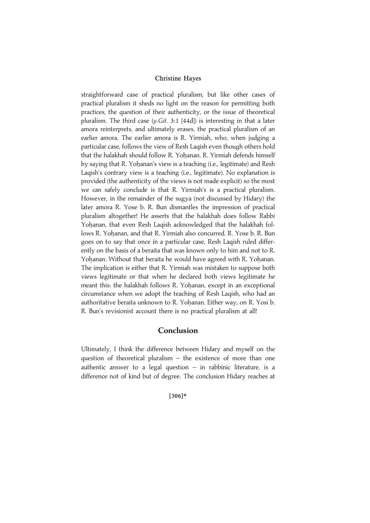straightforward case of practical pluralism, but like other cases of practical pluralism it sheds no light on the reason for permitting both practices, the question of their authenticity, or the issue of theoretical pluralism. The third case (y.Git. 3:1 [44d]) is interesting in that a later amora reinterprets, and ultimately erases, the practical pluralism of an earlier amora. The earlier amora is R. Yirmiah, who, when judging a particular case, follows the view of Resh Laqish even though others hold that the halakhah should follow R. Yohanan. R. Yirmiah defends himself by saying that R. Yohanan's view is a teaching (i.e., legitimate) and Resh Laqish's contrary view is a teaching (i.e., legitimate). No explanation is provided (the authenticity of the views is not made explicit) so the most we can safely conclude is that R. Yirmiah's is a practical pluralism. However, in the remainder of the sugya (not discussed by Hidary) the later amora R. Yose b. R. Bun dismantles the impression of practical pluralism altogether! He asserts that the halakhah does follow Rabbi Yohanan, that even Resh Lagish acknowledged that the halakhah follows R. Yohanan, and that R. Yirmiah also concurred. R. Yose b. R. Bun goes on to say that once in a particular case, Resh Laqish ruled differently on the basis of a beraita that was known only to him and not to R. Yohanan. Without that beraita he would have agreed with R. Yohanan. The implication is either that R. Yirmiah was mistaken to suppose both views legitimate or that when he declared both views legitimate he meant this: the halakhah follows R. Yohanan, except in an exceptional circumstance when we adopt the teaching of Resh Laqish, who had an authoritative beraita unknown to R. Yohanan. Either way, on R. Yosi b. R. Bun's revisionist account there is no practical pluralism at all!

## Conclusion

Ultimately, I think the difference between Hidary and myself on the question of theoretical pluralism – the existence of more than one authentic answer to a legal question  $-$  in rabbinic literature, is a difference not of kind but of degree. The conclusion Hidary reaches at

#### $[306]*$